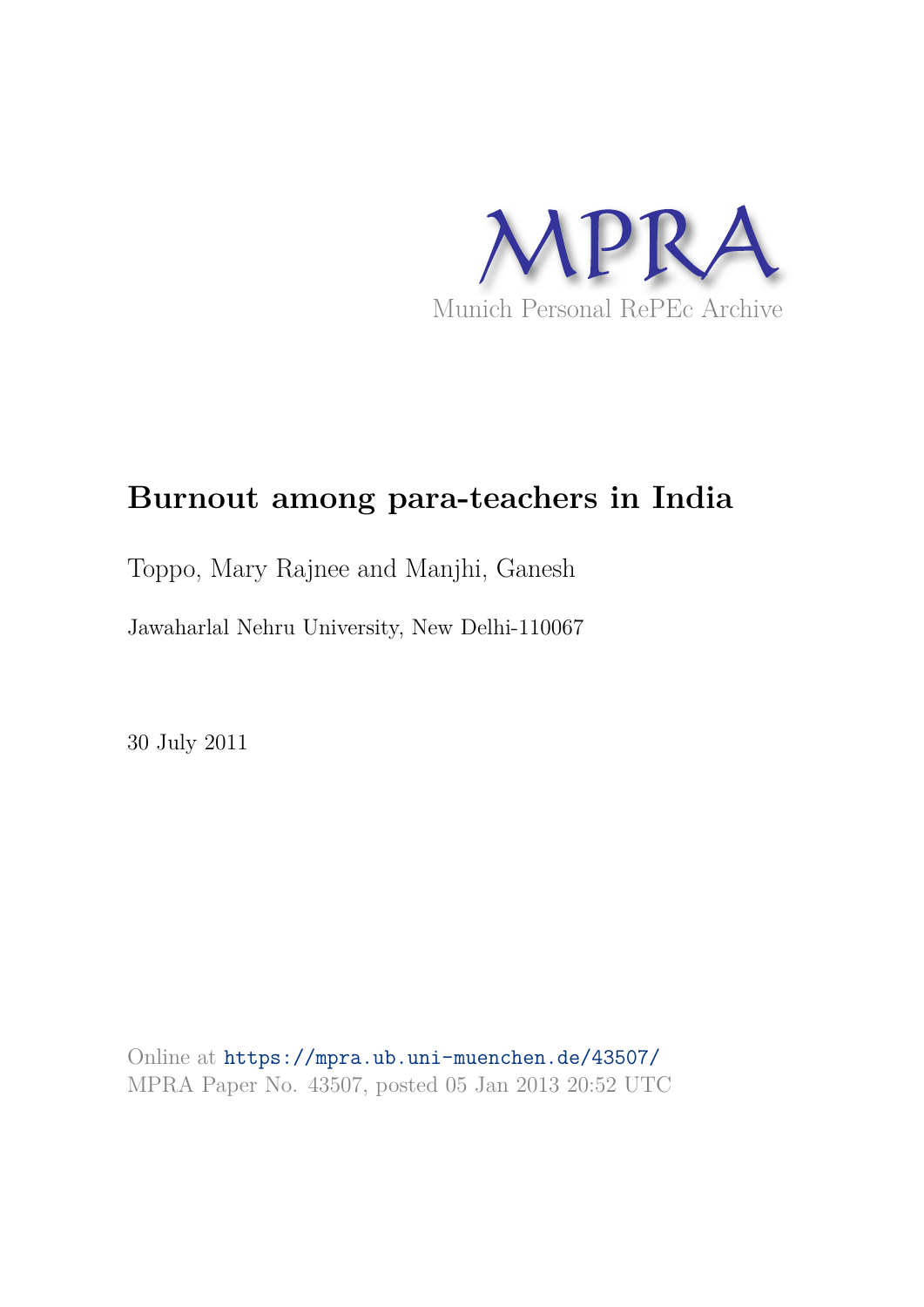

# **Burnout among para-teachers in India**

## Toppo, Mary Rajnee and Manjhi, Ganesh

Jawaharlal Nehru University, New Delhi-110067

30 July 2011

Online at https://mpra.ub.uni-muenchen.de/43507/ MPRA Paper No. 43507, posted 05 Jan 2013 20:52 UTC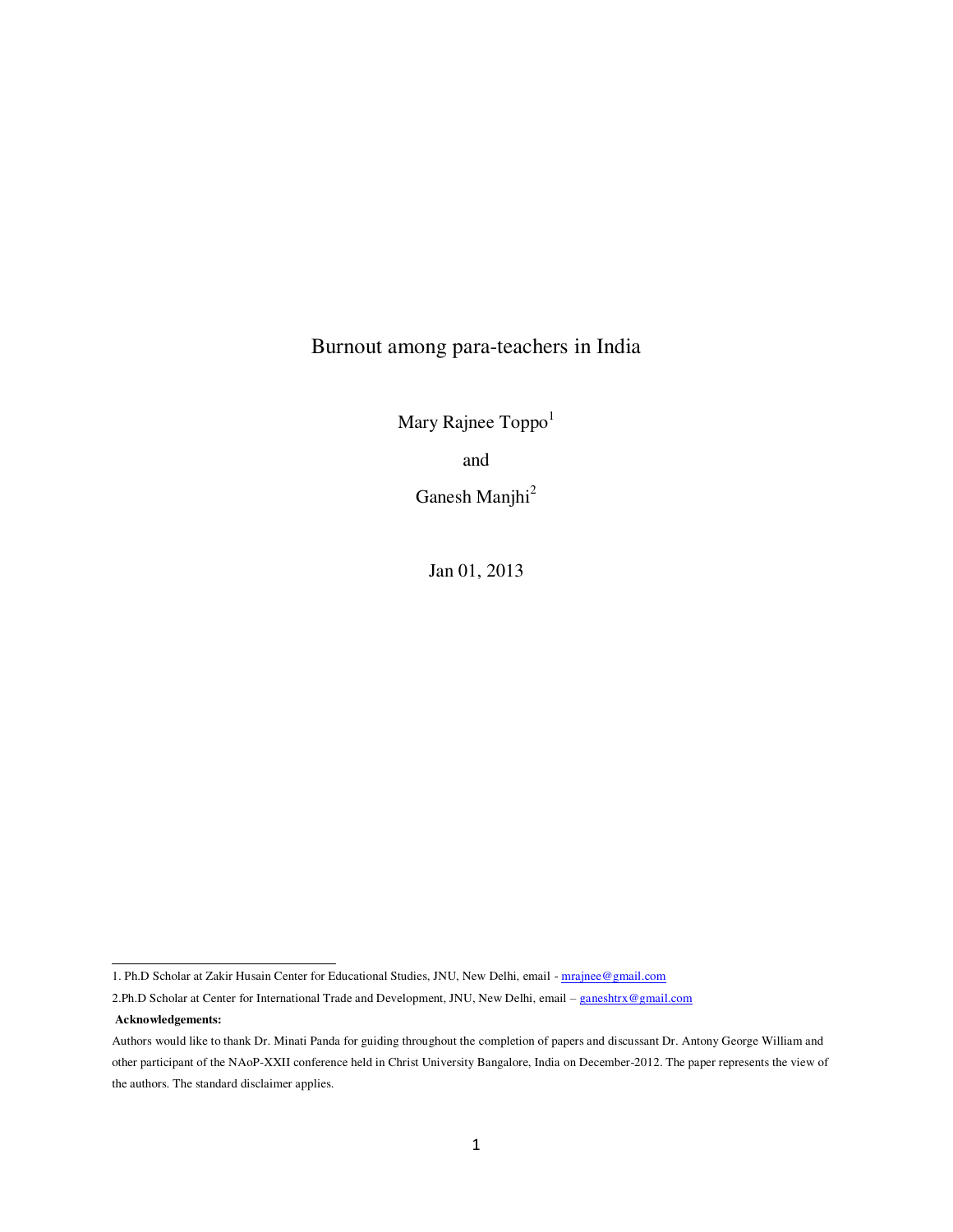### Burnout among para-teachers in India

Mary Rajnee  $\text{Topp}_0^1$ 

and

Ganesh Manjhi<sup>2</sup>

Jan 01, 2013

**Acknowledgements:** 

 $\overline{a}$ 

<sup>1.</sup> Ph.D Scholar at Zakir Husain Center for Educational Studies, JNU, New Delhi, email - [mrajnee@gmail.com](mailto:mrajnee@gmail.com)

<sup>2.</sup>Ph.D Scholar at Center for International Trade and Development, JNU, New Delhi, email – [ganeshtrx@gmail.com](mailto:ganeshtrx@gmail.com)

Authors would like to thank Dr. Minati Panda for guiding throughout the completion of papers and discussant Dr. Antony George William and other participant of the NAoP-XXII conference held in Christ University Bangalore, India on December-2012. The paper represents the view of the authors. The standard disclaimer applies.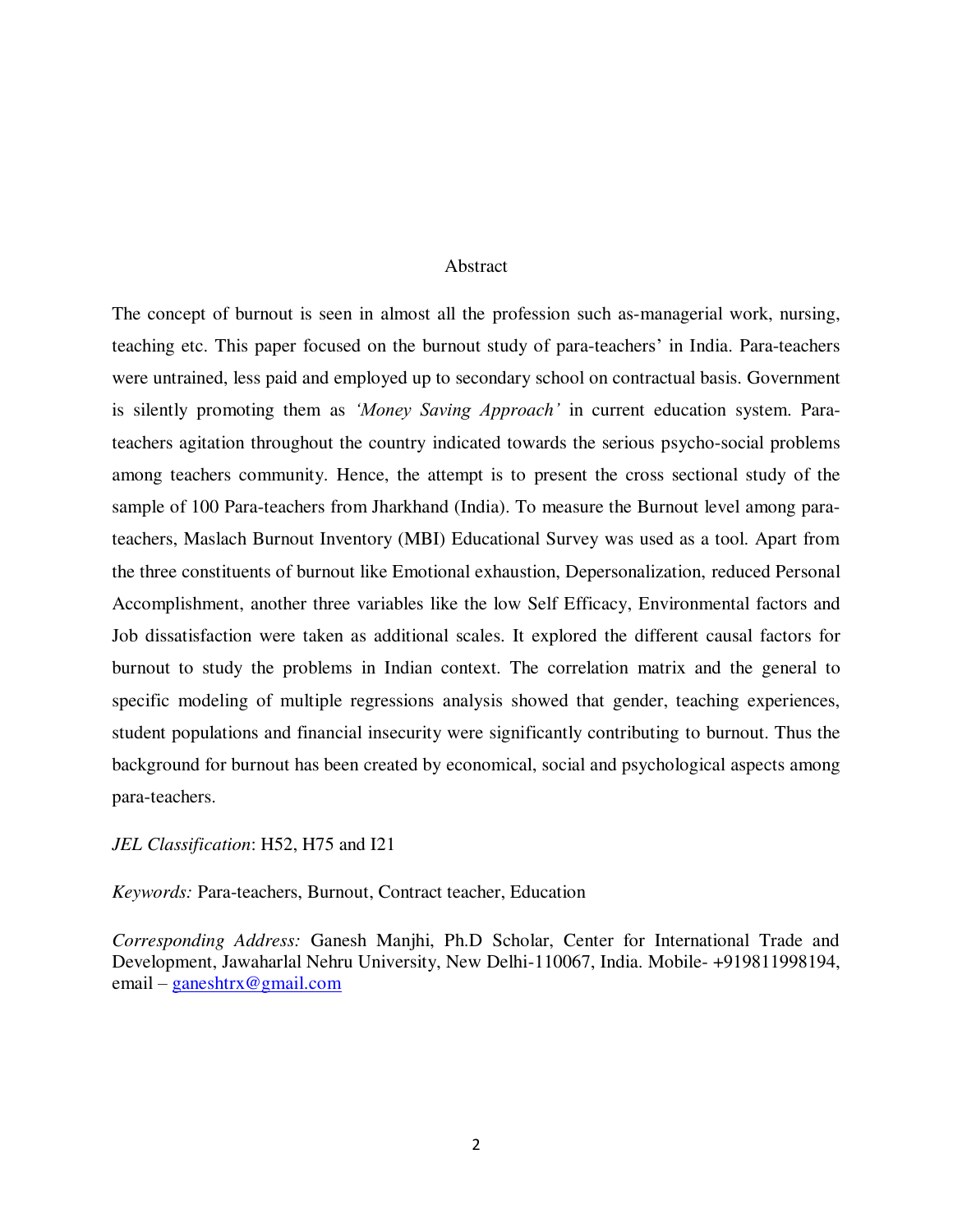#### Abstract

The concept of burnout is seen in almost all the profession such as-managerial work, nursing, teaching etc. This paper focused on the burnout study of para-teachers" in India. Para-teachers were untrained, less paid and employed up to secondary school on contractual basis. Government is silently promoting them as *"Money Saving Approach"* in current education system. Parateachers agitation throughout the country indicated towards the serious psycho-social problems among teachers community. Hence, the attempt is to present the cross sectional study of the sample of 100 Para-teachers from Jharkhand (India). To measure the Burnout level among parateachers, Maslach Burnout Inventory (MBI) Educational Survey was used as a tool. Apart from the three constituents of burnout like Emotional exhaustion, Depersonalization, reduced Personal Accomplishment, another three variables like the low Self Efficacy, Environmental factors and Job dissatisfaction were taken as additional scales. It explored the different causal factors for burnout to study the problems in Indian context. The correlation matrix and the general to specific modeling of multiple regressions analysis showed that gender, teaching experiences, student populations and financial insecurity were significantly contributing to burnout. Thus the background for burnout has been created by economical, social and psychological aspects among para-teachers.

*JEL Classification*: H52, H75 and I21

*Keywords:* Para-teachers, Burnout, Contract teacher, Education

*Corresponding Address:* Ganesh Manjhi, Ph.D Scholar, Center for International Trade and Development, Jawaharlal Nehru University, New Delhi-110067, India. Mobile- +919811998194, email – [ganeshtrx@gmail.com](mailto:ganeshtrx@gmail.com)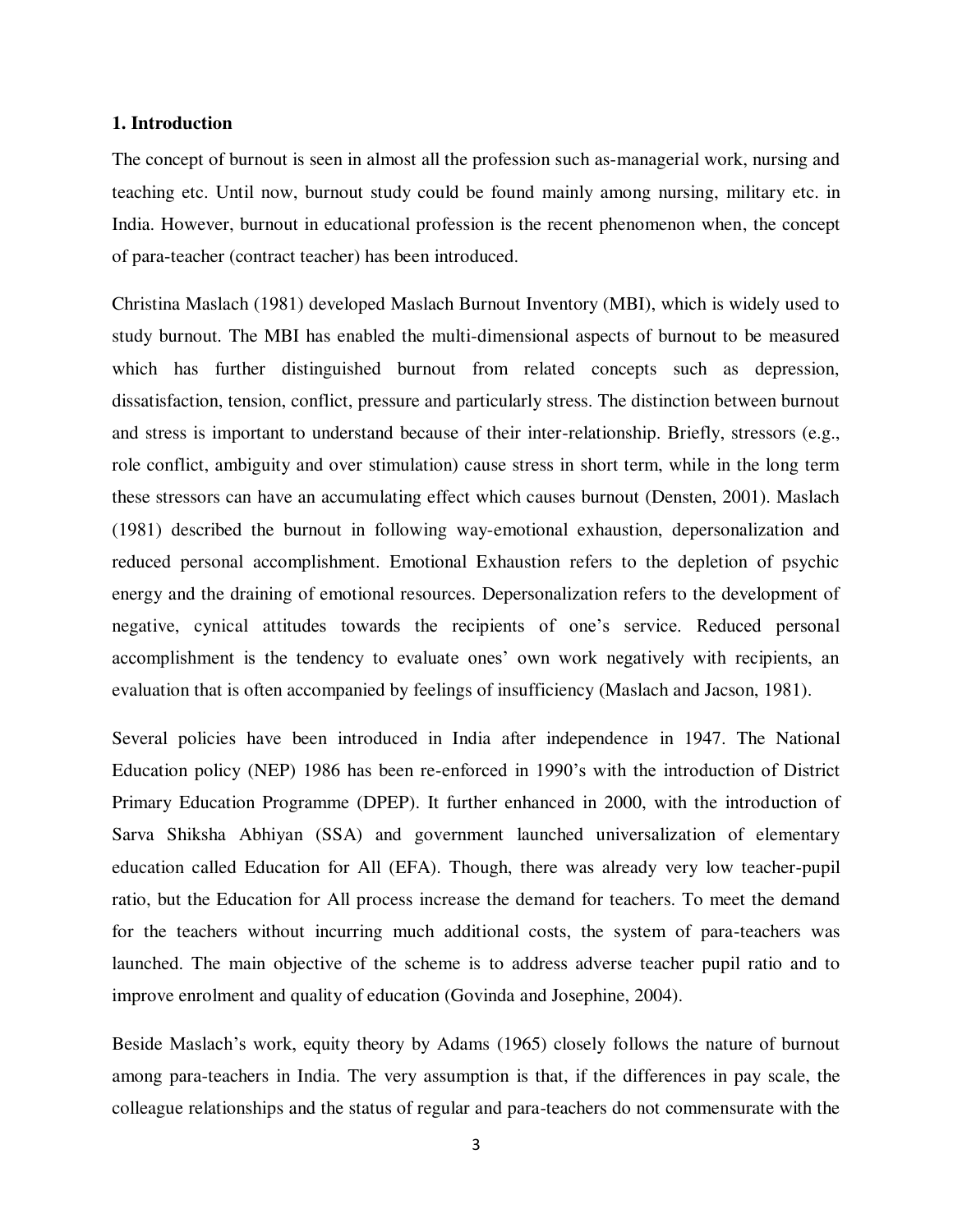#### **1. Introduction**

The concept of burnout is seen in almost all the profession such as-managerial work, nursing and teaching etc. Until now, burnout study could be found mainly among nursing, military etc. in India. However, burnout in educational profession is the recent phenomenon when, the concept of para-teacher (contract teacher) has been introduced.

Christina Maslach (1981) developed Maslach Burnout Inventory (MBI), which is widely used to study burnout. The MBI has enabled the multi-dimensional aspects of burnout to be measured which has further distinguished burnout from related concepts such as depression, dissatisfaction, tension, conflict, pressure and particularly stress. The distinction between burnout and stress is important to understand because of their inter-relationship. Briefly, stressors (e.g., role conflict, ambiguity and over stimulation) cause stress in short term, while in the long term these stressors can have an accumulating effect which causes burnout (Densten, 2001). Maslach (1981) described the burnout in following way-emotional exhaustion, depersonalization and reduced personal accomplishment. Emotional Exhaustion refers to the depletion of psychic energy and the draining of emotional resources. Depersonalization refers to the development of negative, cynical attitudes towards the recipients of one"s service. Reduced personal accomplishment is the tendency to evaluate ones' own work negatively with recipients, an evaluation that is often accompanied by feelings of insufficiency (Maslach and Jacson, 1981).

Several policies have been introduced in India after independence in 1947. The National Education policy (NEP) 1986 has been re-enforced in 1990"s with the introduction of District Primary Education Programme (DPEP). It further enhanced in 2000, with the introduction of Sarva Shiksha Abhiyan (SSA) and government launched universalization of elementary education called Education for All (EFA). Though, there was already very low teacher-pupil ratio, but the Education for All process increase the demand for teachers. To meet the demand for the teachers without incurring much additional costs, the system of para-teachers was launched. The main objective of the scheme is to address adverse teacher pupil ratio and to improve enrolment and quality of education (Govinda and Josephine, 2004).

Beside Maslach's work, equity theory by Adams (1965) closely follows the nature of burnout among para-teachers in India. The very assumption is that, if the differences in pay scale, the colleague relationships and the status of regular and para-teachers do not commensurate with the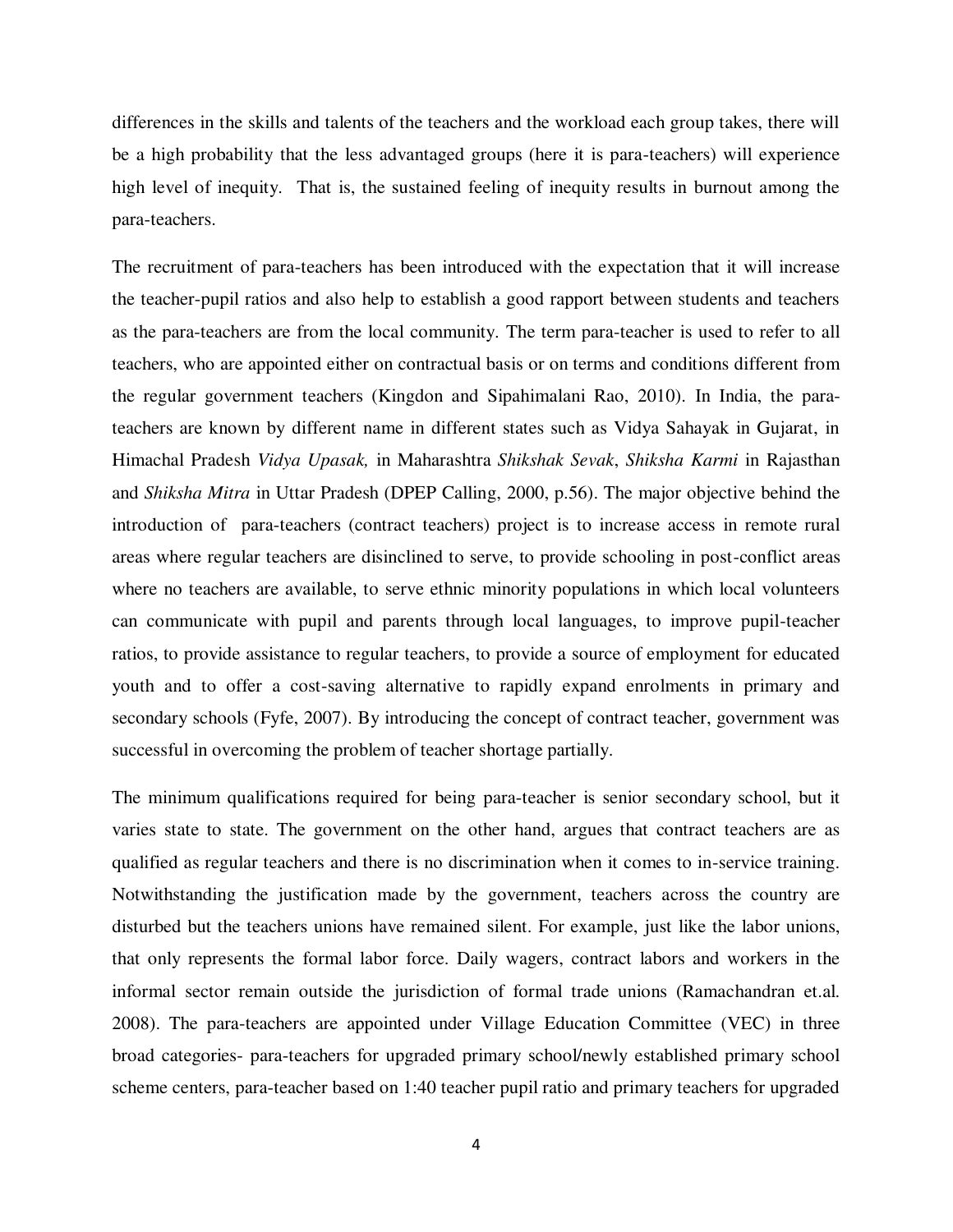differences in the skills and talents of the teachers and the workload each group takes, there will be a high probability that the less advantaged groups (here it is para-teachers) will experience high level of inequity. That is, the sustained feeling of inequity results in burnout among the para-teachers.

The recruitment of para-teachers has been introduced with the expectation that it will increase the teacher-pupil ratios and also help to establish a good rapport between students and teachers as the para-teachers are from the local community. The term para-teacher is used to refer to all teachers, who are appointed either on contractual basis or on terms and conditions different from the regular government teachers (Kingdon and Sipahimalani Rao, 2010). In India, the parateachers are known by different name in different states such as Vidya Sahayak in Gujarat, in Himachal Pradesh *Vidya Upasak,* in Maharashtra *Shikshak Sevak*, *Shiksha Karmi* in Rajasthan and *Shiksha Mitra* in Uttar Pradesh (DPEP Calling, 2000, p.56). The major objective behind the introduction of para-teachers (contract teachers) project is to increase access in remote rural areas where regular teachers are disinclined to serve, to provide schooling in post-conflict areas where no teachers are available, to serve ethnic minority populations in which local volunteers can communicate with pupil and parents through local languages, to improve pupil-teacher ratios, to provide assistance to regular teachers, to provide a source of employment for educated youth and to offer a cost-saving alternative to rapidly expand enrolments in primary and secondary schools (Fyfe, 2007). By introducing the concept of contract teacher, government was successful in overcoming the problem of teacher shortage partially.

The minimum qualifications required for being para-teacher is senior secondary school, but it varies state to state. The government on the other hand, argues that contract teachers are as qualified as regular teachers and there is no discrimination when it comes to in-service training. Notwithstanding the justification made by the government, teachers across the country are disturbed but the teachers unions have remained silent. For example, just like the labor unions, that only represents the formal labor force. Daily wagers, contract labors and workers in the informal sector remain outside the jurisdiction of formal trade unions (Ramachandran et.al. 2008). The para-teachers are appointed under Village Education Committee (VEC) in three broad categories- para-teachers for upgraded primary school/newly established primary school scheme centers, para-teacher based on 1:40 teacher pupil ratio and primary teachers for upgraded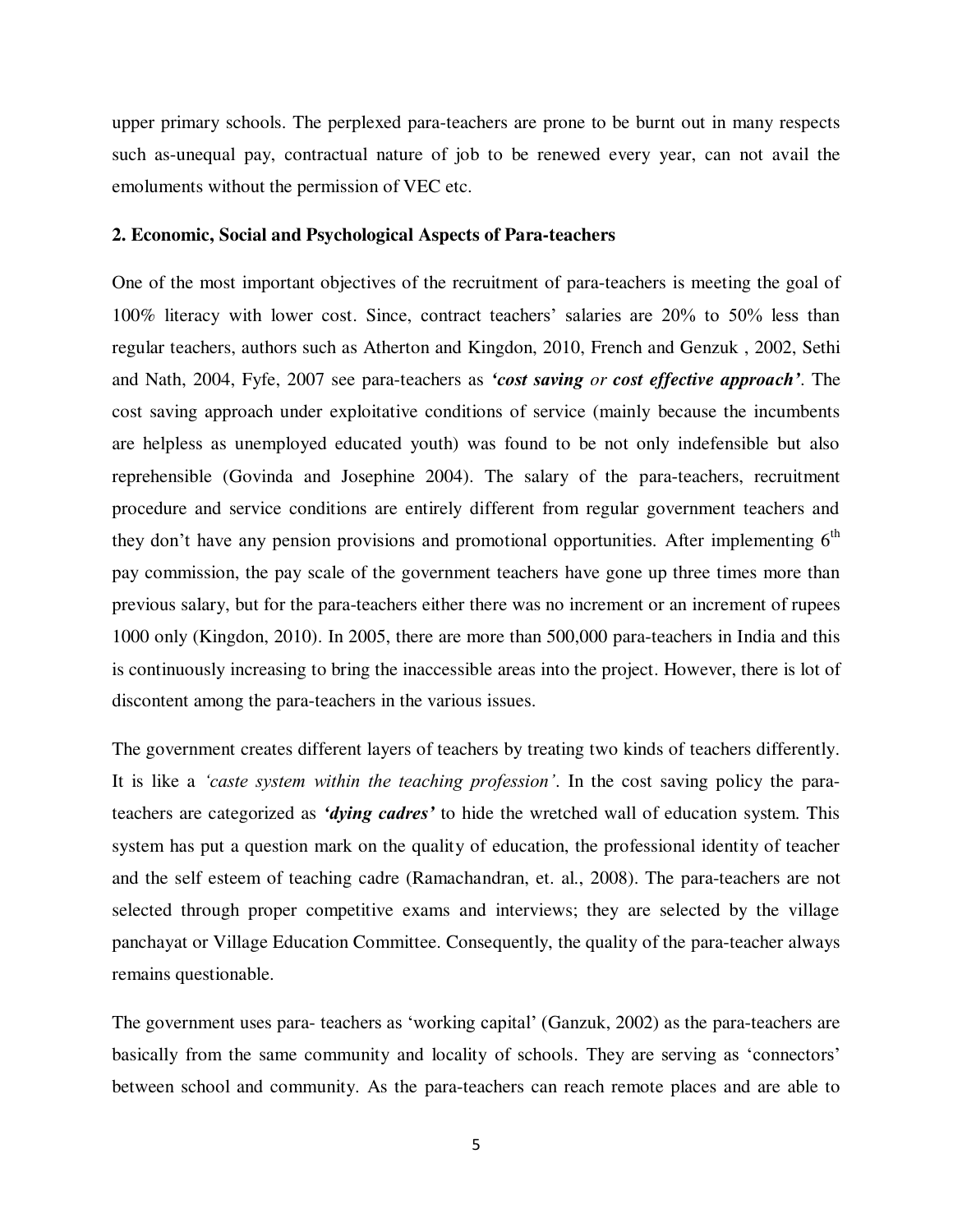upper primary schools. The perplexed para-teachers are prone to be burnt out in many respects such as-unequal pay, contractual nature of job to be renewed every year, can not avail the emoluments without the permission of VEC etc.

#### **2. Economic, Social and Psychological Aspects of Para-teachers**

One of the most important objectives of the recruitment of para-teachers is meeting the goal of 100% literacy with lower cost. Since, contract teachers" salaries are 20% to 50% less than regular teachers, authors such as Atherton and Kingdon, 2010, French and Genzuk , 2002, Sethi and Nath, 2004, Fyfe, 2007 see para-teachers as *'cost saving or cost effective approach'*. The cost saving approach under exploitative conditions of service (mainly because the incumbents are helpless as unemployed educated youth) was found to be not only indefensible but also reprehensible (Govinda and Josephine 2004). The salary of the para-teachers, recruitment procedure and service conditions are entirely different from regular government teachers and they don't have any pension provisions and promotional opportunities. After implementing  $6<sup>th</sup>$ pay commission, the pay scale of the government teachers have gone up three times more than previous salary, but for the para-teachers either there was no increment or an increment of rupees 1000 only (Kingdon, 2010). In 2005, there are more than 500,000 para-teachers in India and this is continuously increasing to bring the inaccessible areas into the project. However, there is lot of discontent among the para-teachers in the various issues.

The government creates different layers of teachers by treating two kinds of teachers differently. It is like a *"caste system within the teaching profession"*. In the cost saving policy the parateachers are categorized as *'dying cadres'* to hide the wretched wall of education system. This system has put a question mark on the quality of education, the professional identity of teacher and the self esteem of teaching cadre (Ramachandran, et. al., 2008). The para-teachers are not selected through proper competitive exams and interviews; they are selected by the village panchayat or Village Education Committee. Consequently, the quality of the para-teacher always remains questionable.

The government uses para- teachers as "working capital" (Ganzuk, 2002) as the para-teachers are basically from the same community and locality of schools. They are serving as "connectors" between school and community. As the para-teachers can reach remote places and are able to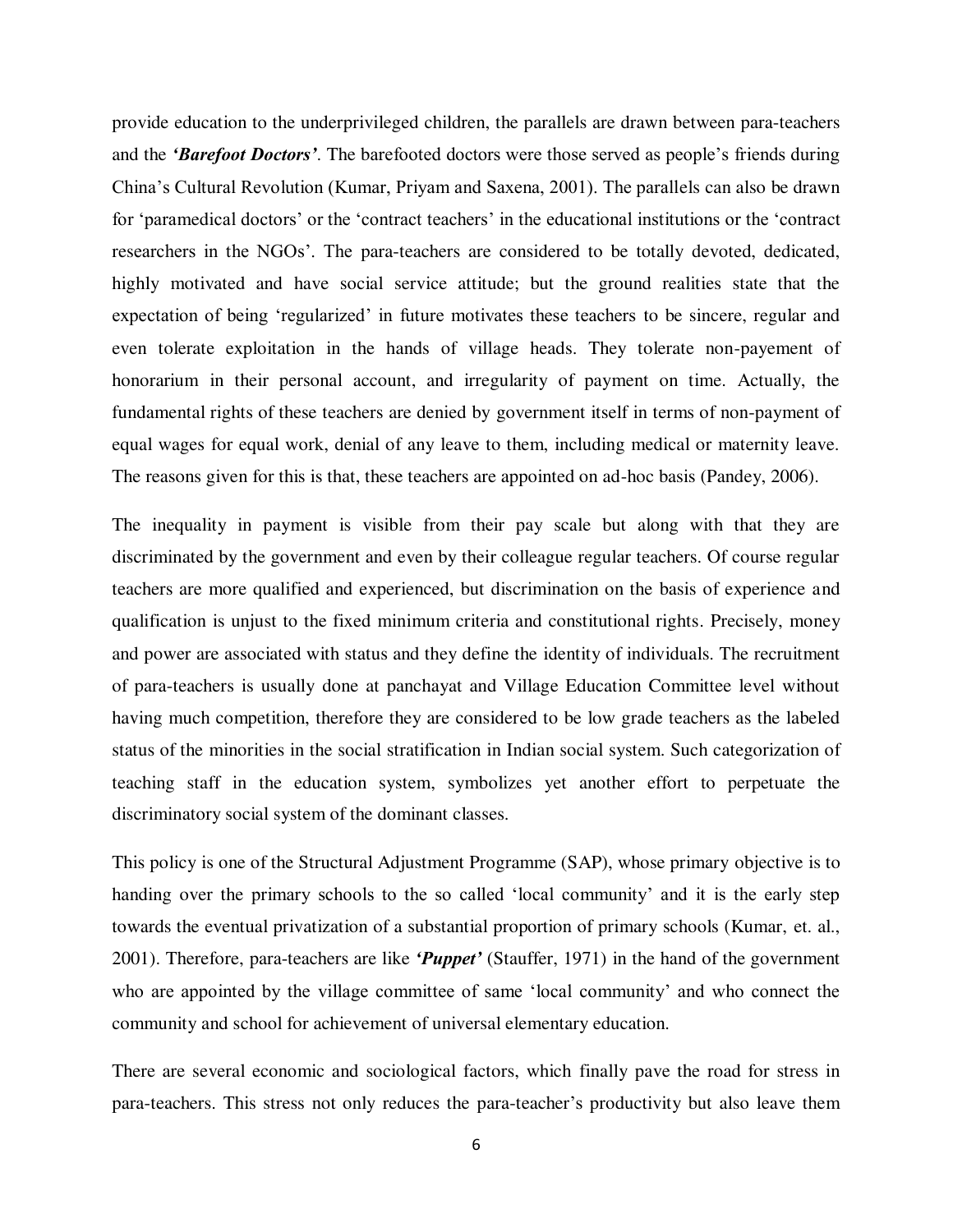provide education to the underprivileged children, the parallels are drawn between para-teachers and the *'Barefoot Doctors'*. The barefooted doctors were those served as people"s friends during China"s Cultural Revolution (Kumar, Priyam and Saxena, 2001). The parallels can also be drawn for "paramedical doctors" or the "contract teachers" in the educational institutions or the "contract" researchers in the NGOs". The para-teachers are considered to be totally devoted, dedicated, highly motivated and have social service attitude; but the ground realities state that the expectation of being "regularized" in future motivates these teachers to be sincere, regular and even tolerate exploitation in the hands of village heads. They tolerate non-payement of honorarium in their personal account, and irregularity of payment on time. Actually, the fundamental rights of these teachers are denied by government itself in terms of non-payment of equal wages for equal work, denial of any leave to them, including medical or maternity leave. The reasons given for this is that, these teachers are appointed on ad-hoc basis (Pandey, 2006).

The inequality in payment is visible from their pay scale but along with that they are discriminated by the government and even by their colleague regular teachers. Of course regular teachers are more qualified and experienced, but discrimination on the basis of experience and qualification is unjust to the fixed minimum criteria and constitutional rights. Precisely, money and power are associated with status and they define the identity of individuals. The recruitment of para-teachers is usually done at panchayat and Village Education Committee level without having much competition, therefore they are considered to be low grade teachers as the labeled status of the minorities in the social stratification in Indian social system. Such categorization of teaching staff in the education system, symbolizes yet another effort to perpetuate the discriminatory social system of the dominant classes.

This policy is one of the Structural Adjustment Programme (SAP), whose primary objective is to handing over the primary schools to the so called 'local community' and it is the early step towards the eventual privatization of a substantial proportion of primary schools (Kumar, et. al., 2001). Therefore, para-teachers are like *'Puppet'* (Stauffer, 1971) in the hand of the government who are appointed by the village committee of same 'local community' and who connect the community and school for achievement of universal elementary education.

There are several economic and sociological factors, which finally pave the road for stress in para-teachers. This stress not only reduces the para-teacher"s productivity but also leave them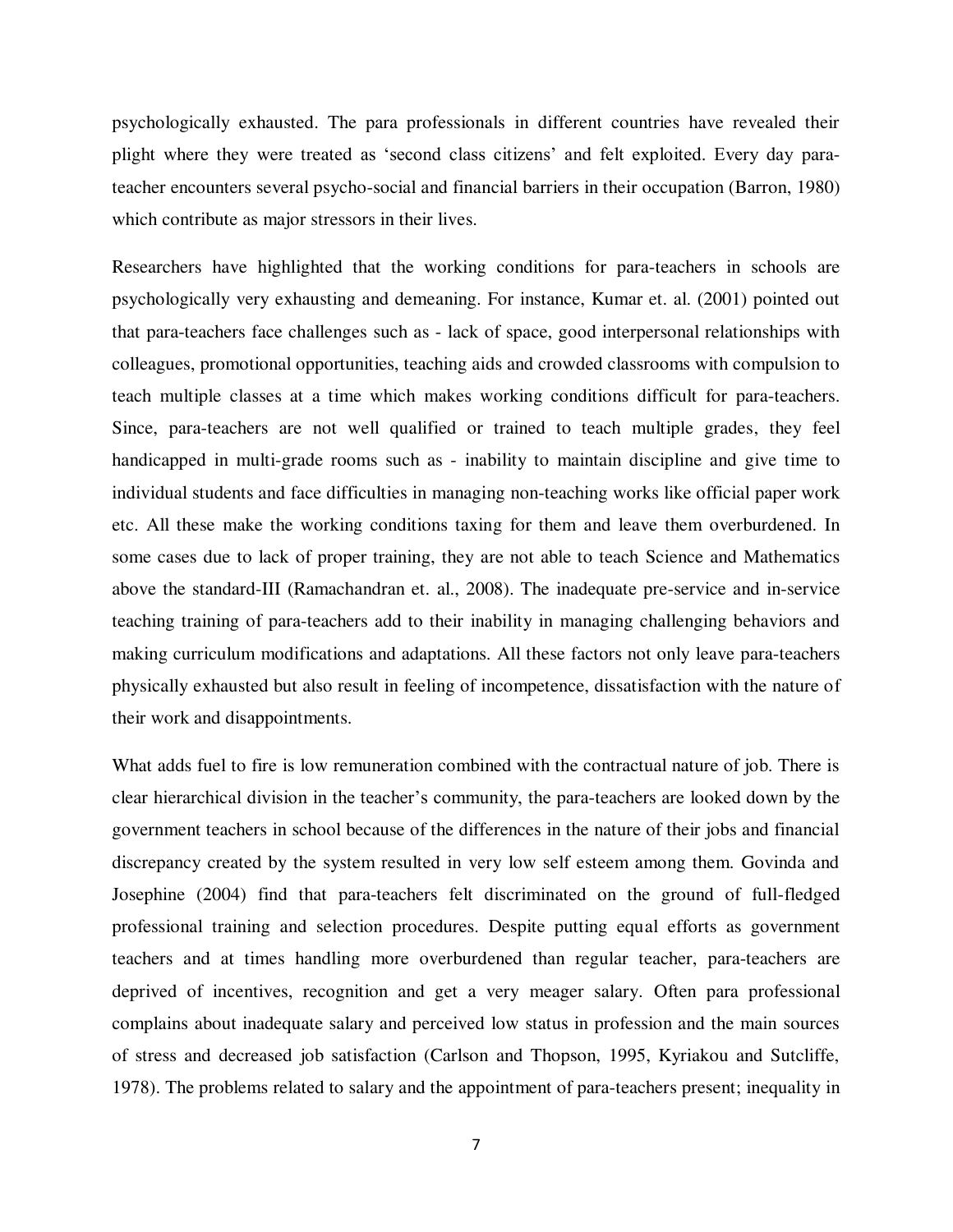psychologically exhausted. The para professionals in different countries have revealed their plight where they were treated as "second class citizens" and felt exploited. Every day parateacher encounters several psycho-social and financial barriers in their occupation (Barron, 1980) which contribute as major stressors in their lives.

Researchers have highlighted that the working conditions for para-teachers in schools are psychologically very exhausting and demeaning. For instance, Kumar et. al. (2001) pointed out that para-teachers face challenges such as - lack of space, good interpersonal relationships with colleagues, promotional opportunities, teaching aids and crowded classrooms with compulsion to teach multiple classes at a time which makes working conditions difficult for para-teachers. Since, para-teachers are not well qualified or trained to teach multiple grades, they feel handicapped in multi-grade rooms such as - inability to maintain discipline and give time to individual students and face difficulties in managing non-teaching works like official paper work etc. All these make the working conditions taxing for them and leave them overburdened. In some cases due to lack of proper training, they are not able to teach Science and Mathematics above the standard-III (Ramachandran et. al., 2008). The inadequate pre-service and in-service teaching training of para-teachers add to their inability in managing challenging behaviors and making curriculum modifications and adaptations. All these factors not only leave para-teachers physically exhausted but also result in feeling of incompetence, dissatisfaction with the nature of their work and disappointments.

What adds fuel to fire is low remuneration combined with the contractual nature of job. There is clear hierarchical division in the teacher"s community, the para-teachers are looked down by the government teachers in school because of the differences in the nature of their jobs and financial discrepancy created by the system resulted in very low self esteem among them. Govinda and Josephine (2004) find that para-teachers felt discriminated on the ground of full-fledged professional training and selection procedures. Despite putting equal efforts as government teachers and at times handling more overburdened than regular teacher, para-teachers are deprived of incentives, recognition and get a very meager salary. Often para professional complains about inadequate salary and perceived low status in profession and the main sources of stress and decreased job satisfaction (Carlson and Thopson, 1995, Kyriakou and Sutcliffe, 1978). The problems related to salary and the appointment of para-teachers present; inequality in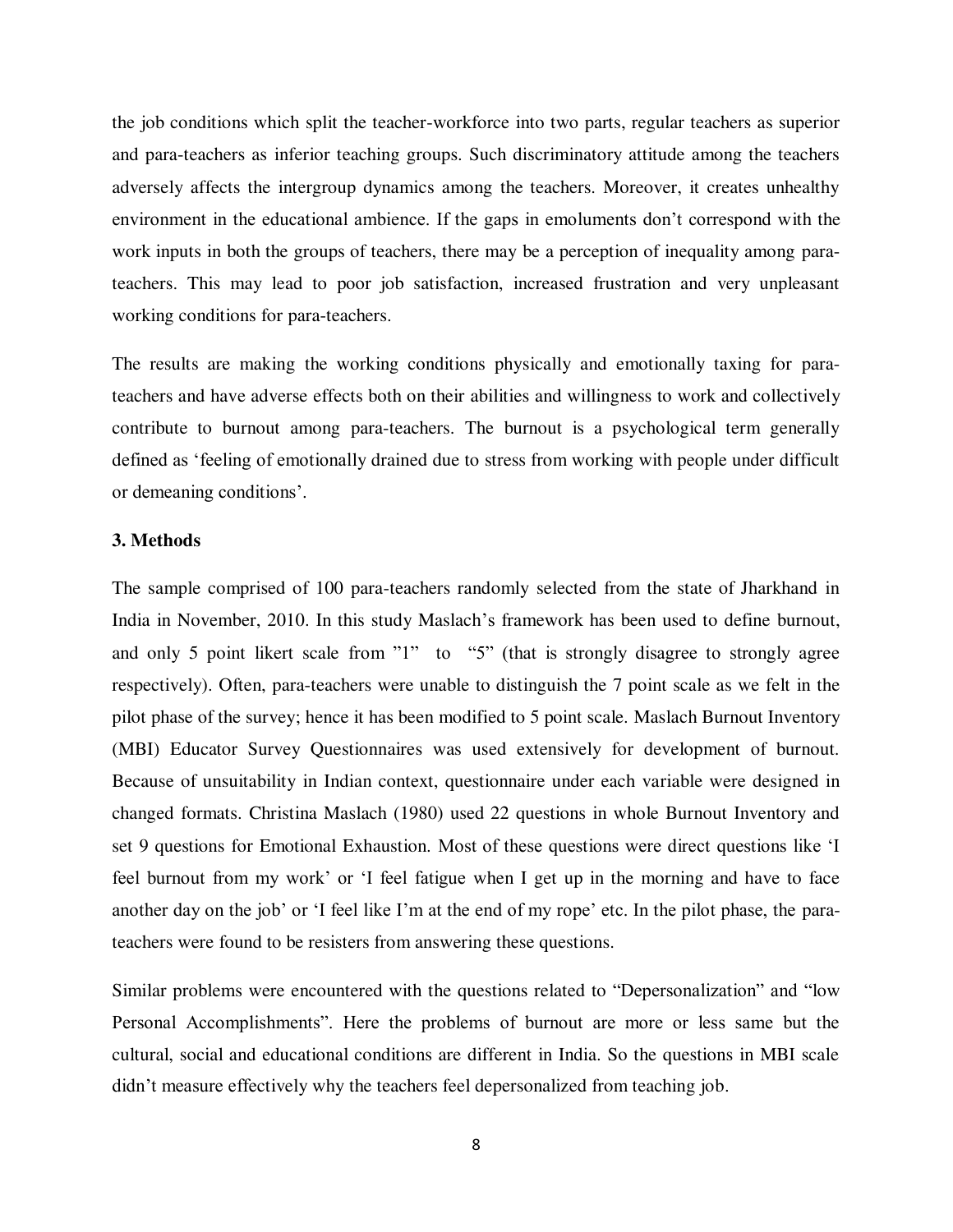the job conditions which split the teacher-workforce into two parts, regular teachers as superior and para-teachers as inferior teaching groups. Such discriminatory attitude among the teachers adversely affects the intergroup dynamics among the teachers. Moreover, it creates unhealthy environment in the educational ambience. If the gaps in emoluments don"t correspond with the work inputs in both the groups of teachers, there may be a perception of inequality among parateachers. This may lead to poor job satisfaction, increased frustration and very unpleasant working conditions for para-teachers.

The results are making the working conditions physically and emotionally taxing for parateachers and have adverse effects both on their abilities and willingness to work and collectively contribute to burnout among para-teachers. The burnout is a psychological term generally defined as "feeling of emotionally drained due to stress from working with people under difficult or demeaning conditions".

#### **3. Methods**

The sample comprised of 100 para-teachers randomly selected from the state of Jharkhand in India in November, 2010. In this study Maslach's framework has been used to define burnout, and only 5 point likert scale from "1" to "5" (that is strongly disagree to strongly agree respectively). Often, para-teachers were unable to distinguish the 7 point scale as we felt in the pilot phase of the survey; hence it has been modified to 5 point scale. Maslach Burnout Inventory (MBI) Educator Survey Questionnaires was used extensively for development of burnout. Because of unsuitability in Indian context, questionnaire under each variable were designed in changed formats. Christina Maslach (1980) used 22 questions in whole Burnout Inventory and set 9 questions for Emotional Exhaustion. Most of these questions were direct questions like "I feel burnout from my work' or 'I feel fatigue when I get up in the morning and have to face another day on the job' or 'I feel like I'm at the end of my rope' etc. In the pilot phase, the parateachers were found to be resisters from answering these questions.

Similar problems were encountered with the questions related to "Depersonalization" and "low Personal Accomplishments". Here the problems of burnout are more or less same but the cultural, social and educational conditions are different in India. So the questions in MBI scale didn't measure effectively why the teachers feel depersonalized from teaching job.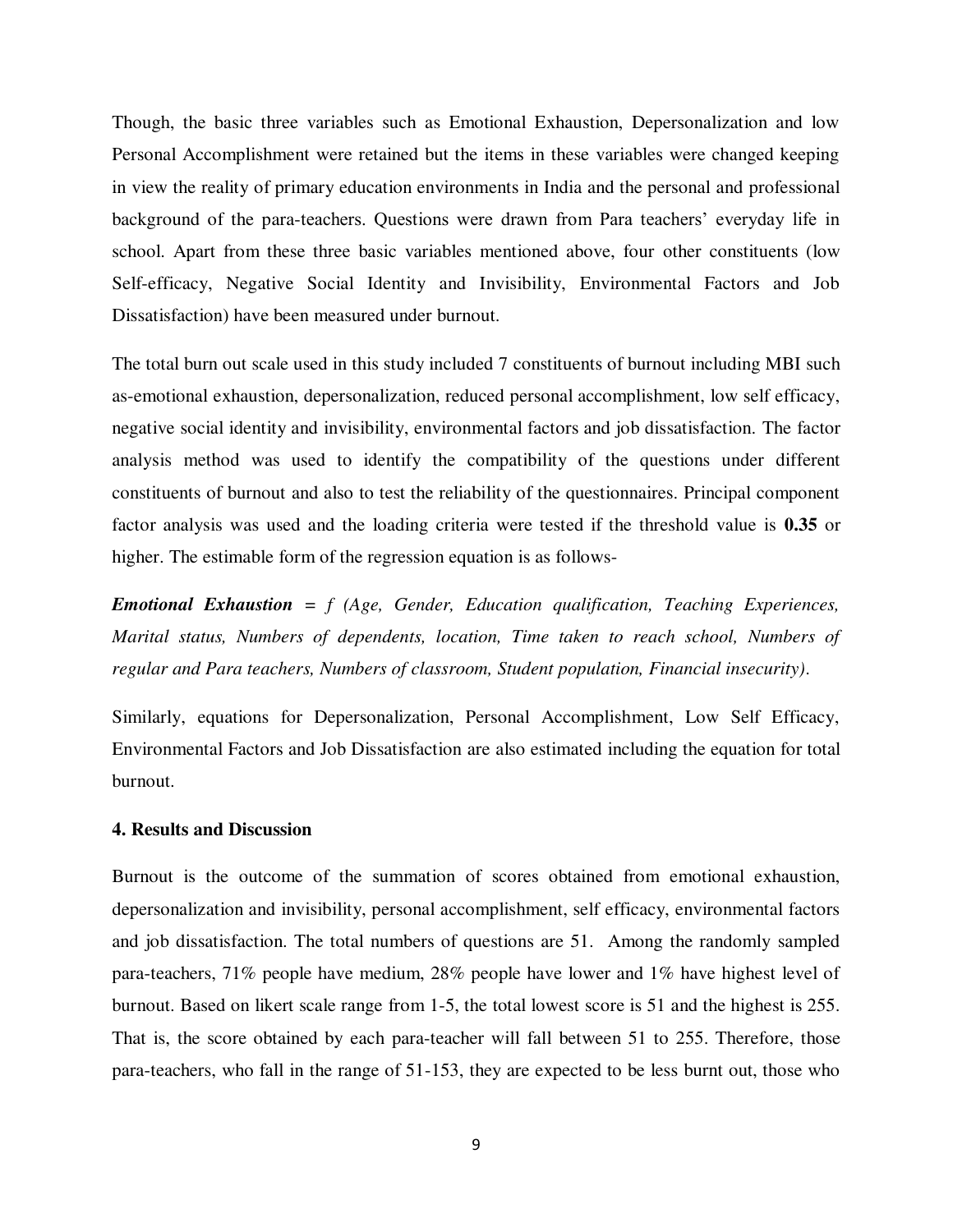Though, the basic three variables such as Emotional Exhaustion, Depersonalization and low Personal Accomplishment were retained but the items in these variables were changed keeping in view the reality of primary education environments in India and the personal and professional background of the para-teachers. Questions were drawn from Para teachers' everyday life in school. Apart from these three basic variables mentioned above, four other constituents (low Self-efficacy, Negative Social Identity and Invisibility, Environmental Factors and Job Dissatisfaction) have been measured under burnout.

The total burn out scale used in this study included 7 constituents of burnout including MBI such as-emotional exhaustion, depersonalization, reduced personal accomplishment, low self efficacy, negative social identity and invisibility, environmental factors and job dissatisfaction. The factor analysis method was used to identify the compatibility of the questions under different constituents of burnout and also to test the reliability of the questionnaires. Principal component factor analysis was used and the loading criteria were tested if the threshold value is **0.35** or higher. The estimable form of the regression equation is as follows-

*Emotional Exhaustion = f (Age, Gender, Education qualification, Teaching Experiences, Marital status, Numbers of dependents, location, Time taken to reach school, Numbers of regular and Para teachers, Numbers of classroom, Student population, Financial insecurity)*.

Similarly, equations for Depersonalization, Personal Accomplishment, Low Self Efficacy, Environmental Factors and Job Dissatisfaction are also estimated including the equation for total burnout.

#### **4. Results and Discussion**

Burnout is the outcome of the summation of scores obtained from emotional exhaustion, depersonalization and invisibility, personal accomplishment, self efficacy, environmental factors and job dissatisfaction. The total numbers of questions are 51. Among the randomly sampled para-teachers, 71% people have medium, 28% people have lower and 1% have highest level of burnout. Based on likert scale range from 1-5, the total lowest score is 51 and the highest is 255. That is, the score obtained by each para-teacher will fall between 51 to 255. Therefore, those para-teachers, who fall in the range of 51-153, they are expected to be less burnt out, those who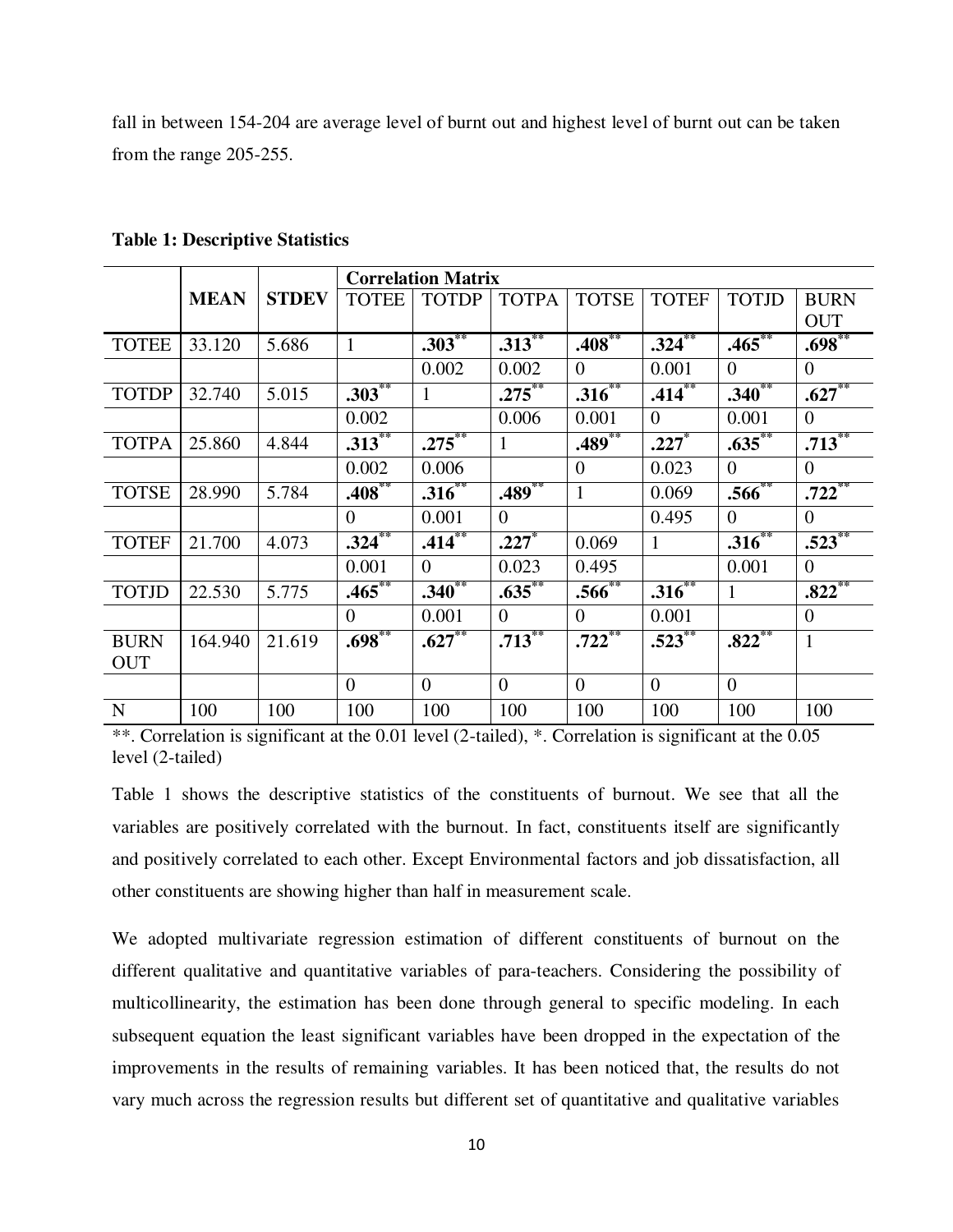fall in between 154-204 are average level of burnt out and highest level of burnt out can be taken from the range 205-255.

|              |             |              |                | <b>Correlation Matrix</b> |                |                      |                |                |                |
|--------------|-------------|--------------|----------------|---------------------------|----------------|----------------------|----------------|----------------|----------------|
|              | <b>MEAN</b> | <b>STDEV</b> | <b>TOTEE</b>   | <b>TOTDP</b>              | <b>TOTPA</b>   | <b>TOTSE</b>         | <b>TOTEF</b>   | <b>TOTJD</b>   | <b>BURN</b>    |
|              |             |              |                |                           |                |                      |                |                | <b>OUT</b>     |
| <b>TOTEE</b> | 33.120      | 5.686        | $\mathbf{1}$   | $.303***$                 | $.313**$       | $.408***$            | $.324***$      | $.465**$       | $.698***$      |
|              |             |              |                | 0.002                     | 0.002          | $\overline{0}$       | 0.001          | $\theta$       | $\overline{0}$ |
| <b>TOTDP</b> | 32.740      | 5.015        | $.303**$       |                           | $.275***$      | $.316***$            | $.414***$      | $.340**$       | $.627***$      |
|              |             |              | 0.002          |                           | 0.006          | 0.001                | $\overline{0}$ | 0.001          | $\overline{0}$ |
| <b>TOTPA</b> | 25.860      | 4.844        | $.313***$      | $.275***$                 | $\mathbf{1}$   | $.489***$            | $.227*$        | $.635***$      | $.713***$      |
|              |             |              | 0.002          | 0.006                     |                | $\theta$             | 0.023          | $\overline{0}$ | $\overline{0}$ |
| <b>TOTSE</b> | 28.990      | 5.784        | $.408***$      | $.316^{**}$               | $.489**$       | 1                    | 0.069          | $.566^{**}$    | $.722$ **      |
|              |             |              | $\overline{0}$ | 0.001                     | $\theta$       |                      | 0.495          | $\overline{0}$ | $\overline{0}$ |
| <b>TOTEF</b> | 21.700      | 4.073        | $.324$ **      | $.414***$                 | .227           | 0.069                | $\mathbf{1}$   | $.316**$       | $.523***$      |
|              |             |              | 0.001          | $\theta$                  | 0.023          | 0.495                |                | 0.001          | $\overline{0}$ |
| <b>TOTJD</b> | 22.530      | 5.775        | $.465***$      | $.340**$                  | $.635***$      | $.566^{**}$          | $.316***$      | 1              | $.822***$      |
|              |             |              | $\overline{0}$ | 0.001                     | $\Omega$       | $\overline{0}$       | 0.001          |                | $\overline{0}$ |
| <b>BURN</b>  | 164.940     | 21.619       | $.698***$      | $.627**$                  | $.713^{**}$    | $.722$ <sup>**</sup> | $.523^{**}$    | $.822$ **      | $\mathbf{1}$   |
| <b>OUT</b>   |             |              |                |                           |                |                      |                |                |                |
|              |             |              | $\overline{0}$ | $\theta$                  | $\overline{0}$ | $\overline{0}$       | $\theta$       | $\Omega$       |                |
| $\mathbf N$  | 100         | 100          | 100            | 100                       | 100            | 100                  | 100            | 100            | 100            |

**Table 1: Descriptive Statistics** 

\*\*. Correlation is significant at the 0.01 level (2-tailed), \*. Correlation is significant at the 0.05 level (2-tailed)

Table 1 shows the descriptive statistics of the constituents of burnout. We see that all the variables are positively correlated with the burnout. In fact, constituents itself are significantly and positively correlated to each other. Except Environmental factors and job dissatisfaction, all other constituents are showing higher than half in measurement scale.

We adopted multivariate regression estimation of different constituents of burnout on the different qualitative and quantitative variables of para-teachers. Considering the possibility of multicollinearity, the estimation has been done through general to specific modeling. In each subsequent equation the least significant variables have been dropped in the expectation of the improvements in the results of remaining variables. It has been noticed that, the results do not vary much across the regression results but different set of quantitative and qualitative variables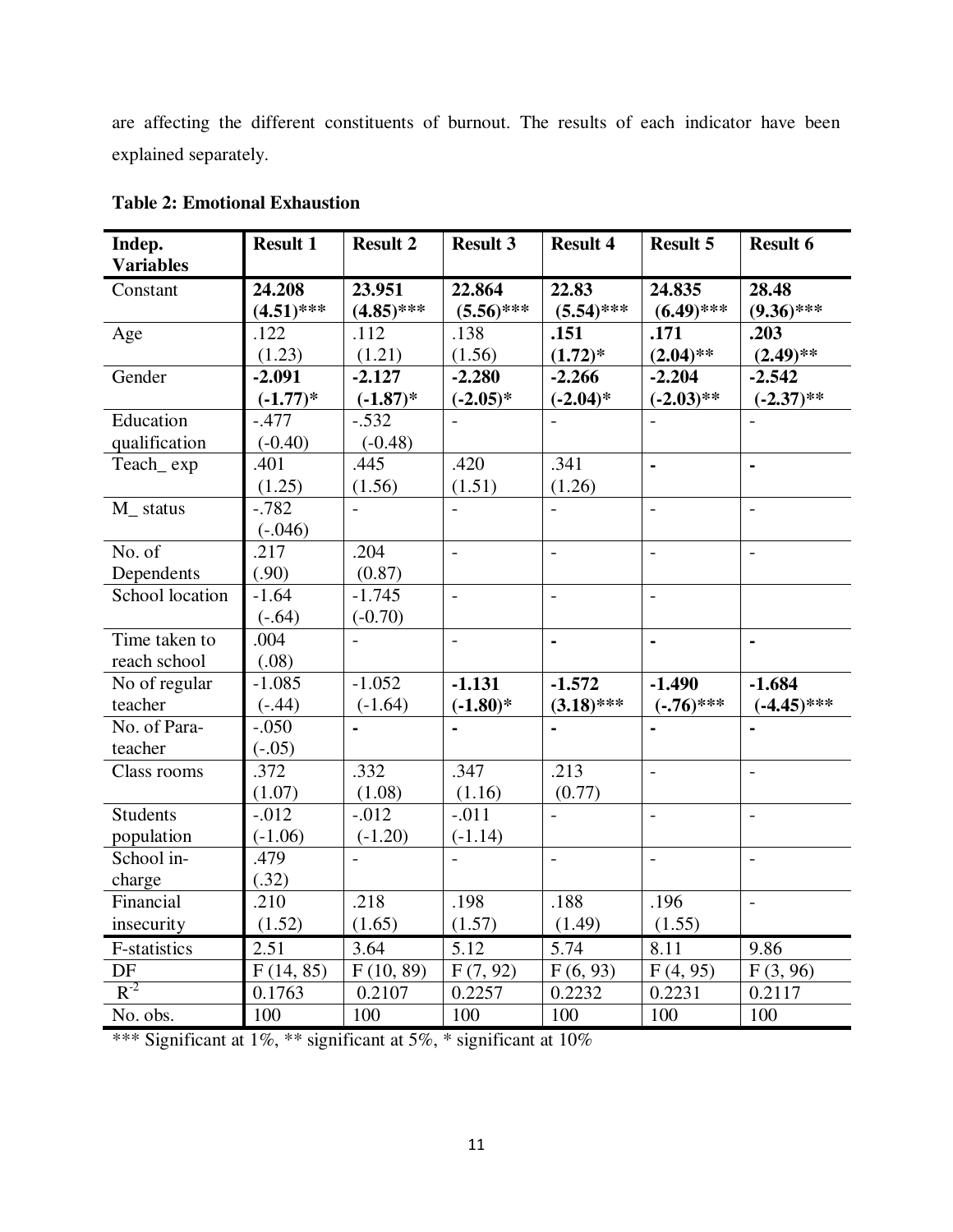are affecting the different constituents of burnout. The results of each indicator have been explained separately.

| Indep.              | <b>Result 1</b> | <b>Result 2</b> | <b>Result 3</b>          | <b>Result 4</b> | <b>Result 5</b> | <b>Result 6</b>          |
|---------------------|-----------------|-----------------|--------------------------|-----------------|-----------------|--------------------------|
| <b>Variables</b>    |                 |                 |                          |                 |                 |                          |
| Constant            | 24.208          | 23.951          | 22.864                   | 22.83           | 24.835          | 28.48                    |
|                     | $(4.51)$ ***    | $(4.85)$ ***    | $(5.56)$ ***             | $(5.54)$ ***    | $(6.49)$ ***    | $(9.36)$ ***             |
| Age                 | .122            | .112            | .138                     | .151            | .171            | .203                     |
|                     | (1.23)          | (1.21)          | (1.56)                   | $(1.72)^*$      | $(2.04)$ **     | $(2.49)$ **              |
| Gender              | $-2.091$        | $-2.127$        | $-2.280$                 | $-2.266$        | $-2.204$        | $-2.542$                 |
|                     | $(-1.77)*$      | $(-1.87)*$      | $(-2.05)*$               | $(-2.04)$ *     | $(-2.03)$ **    | $(-2.37)$ **             |
| Education           | $-.477$         | $-.532$         | $\overline{\phantom{a}}$ |                 |                 |                          |
| qualification       | $(-0.40)$       | $(-0.48)$       |                          |                 |                 |                          |
| Teach_exp           | .401            | .445            | .420                     | .341            | L.              | $\blacksquare$           |
|                     | (1.25)          | (1.56)          | (1.51)                   | (1.26)          |                 |                          |
| M_ status           | $-0.782$        | $\overline{a}$  |                          |                 | $\overline{a}$  | $\overline{a}$           |
|                     | $(-.046)$       |                 |                          |                 |                 |                          |
| No. of              | .217            | .204            | $\frac{1}{2}$            | $\overline{a}$  | $\frac{1}{2}$   | $\overline{\phantom{a}}$ |
| Dependents          | (.90)           | (0.87)          |                          |                 |                 |                          |
| School location     | $-1.64$         | $-1.745$        | $\overline{a}$           | $\frac{1}{2}$   | $\overline{a}$  |                          |
|                     | $(-.64)$        | $(-0.70)$       |                          |                 |                 |                          |
| Time taken to       | .004            | $\overline{a}$  | $\overline{a}$           | $\blacksquare$  | $\blacksquare$  | $\blacksquare$           |
| reach school        | (.08)           |                 |                          |                 |                 |                          |
| No of regular       | $-1.085$        | $-1.052$        | $-1.131$                 | $-1.572$        | $-1.490$        | $-1.684$                 |
| teacher             | $(-.44)$        | $(-1.64)$       | $(-1.80)$ *              | $(3.18)$ ***    | $(-.76)$ ***    | $(-4.45)$ ***            |
| No. of Para-        | $-.050$         | $\blacksquare$  |                          |                 | $\blacksquare$  | $\blacksquare$           |
| teacher             | $(-.05)$        |                 |                          |                 |                 |                          |
| Class rooms         | .372            | .332            | .347                     | .213            | $\overline{a}$  | $\overline{\phantom{a}}$ |
|                     | (1.07)          | (1.08)          | (1.16)                   | (0.77)          |                 |                          |
| <b>Students</b>     | $-.012$         | $-0.012$        | $-.011$                  |                 | $\overline{a}$  | $\overline{a}$           |
| population          | $(-1.06)$       | $(-1.20)$       | $(-1.14)$                |                 |                 |                          |
| School in-          | .479            | $\overline{a}$  |                          | $\overline{a}$  | $\overline{a}$  |                          |
| charge              | (.32)           |                 |                          |                 |                 |                          |
| Financial           | .210            | .218            | .198                     | .188            | .196            | $\blacksquare$           |
| insecurity          | (1.52)          | (1.65)          | (1.57)                   | (1.49)          | (1.55)          |                          |
| <b>F-statistics</b> | 2.51            | 3.64            | 5.12                     | 5.74            | 8.11            | 9.86                     |
| DF                  | F(14, 85)       | F(10, 89)       | F(7, 92)                 | F(6, 93)        | F(4, 95)        | F(3, 96)                 |
| $R^{-2}$            | 0.1763          | 0.2107          | 0.2257                   | 0.2232          | 0.2231          | 0.2117                   |
| No. obs.            | 100             | 100             | 100                      | 100             | 100             | 100                      |

**Table 2: Emotional Exhaustion** 

\*\*\* Significant at 1%, \*\* significant at 5%, \* significant at 10%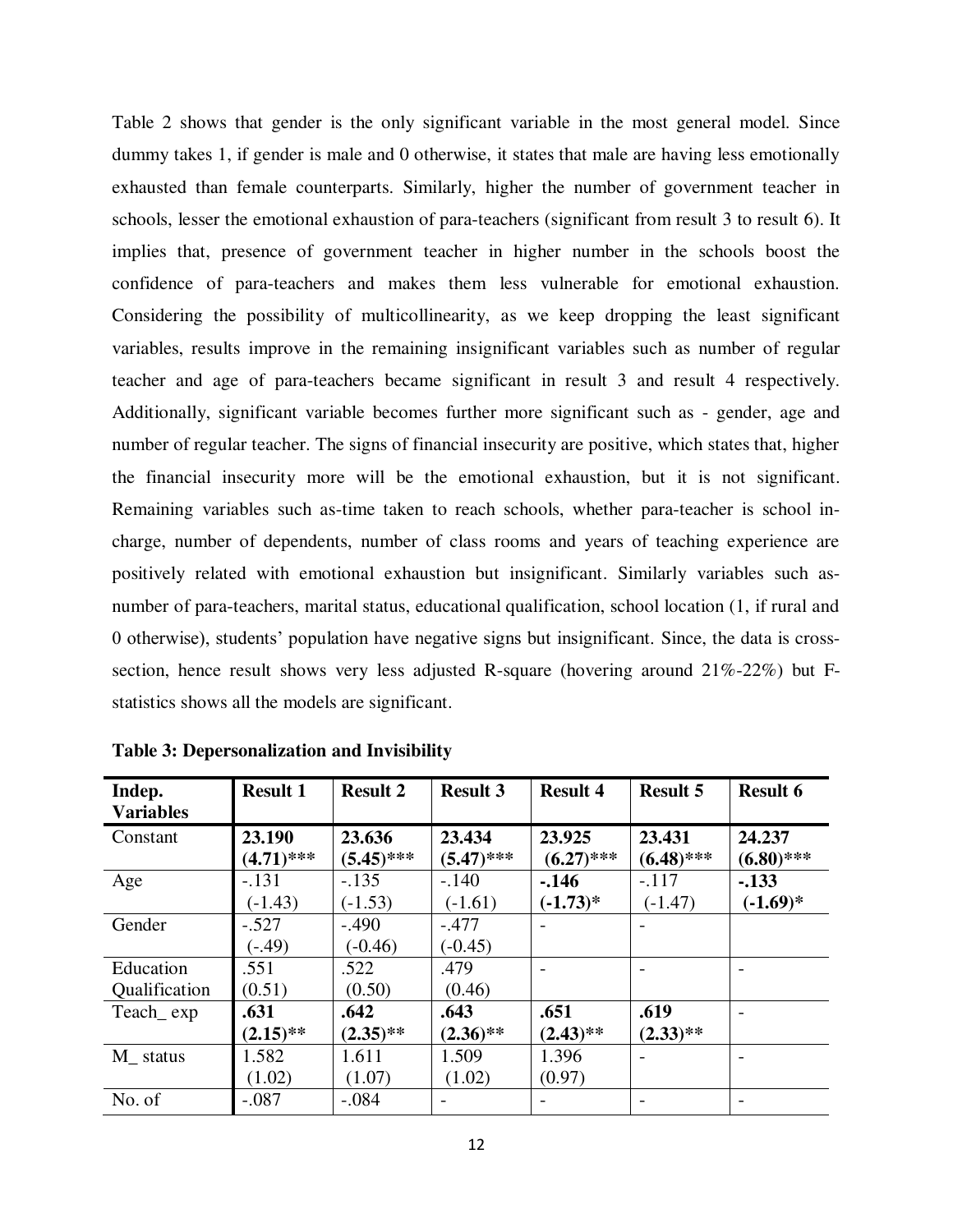Table 2 shows that gender is the only significant variable in the most general model. Since dummy takes 1, if gender is male and 0 otherwise, it states that male are having less emotionally exhausted than female counterparts. Similarly, higher the number of government teacher in schools, lesser the emotional exhaustion of para-teachers (significant from result 3 to result 6). It implies that, presence of government teacher in higher number in the schools boost the confidence of para-teachers and makes them less vulnerable for emotional exhaustion. Considering the possibility of multicollinearity, as we keep dropping the least significant variables, results improve in the remaining insignificant variables such as number of regular teacher and age of para-teachers became significant in result 3 and result 4 respectively. Additionally, significant variable becomes further more significant such as - gender, age and number of regular teacher. The signs of financial insecurity are positive, which states that, higher the financial insecurity more will be the emotional exhaustion, but it is not significant. Remaining variables such as-time taken to reach schools, whether para-teacher is school incharge, number of dependents, number of class rooms and years of teaching experience are positively related with emotional exhaustion but insignificant. Similarly variables such asnumber of para-teachers, marital status, educational qualification, school location (1, if rural and 0 otherwise), students" population have negative signs but insignificant. Since, the data is crosssection, hence result shows very less adjusted R-square (hovering around 21%-22%) but Fstatistics shows all the models are significant.

| Indep.<br><b>Variables</b> | <b>Result 1</b> | <b>Result 2</b> | <b>Result 3</b> | <b>Result 4</b> | <b>Result 5</b> | <b>Result 6</b> |
|----------------------------|-----------------|-----------------|-----------------|-----------------|-----------------|-----------------|
| Constant                   | 23.190          | 23.636          | 23.434          | 23.925          | 23.431          | 24.237          |
|                            | $(4.71)$ ***    | $(5.45)$ ***    | $(5.47)$ ***    | $(6.27)$ ***    | $(6.48)$ ***    | $(6.80)$ ***    |
| Age                        | $-.131$         | $-.135$         | $-.140$         | $-.146$         | $-.117$         | $-.133$         |
|                            | $(-1.43)$       | $(-1.53)$       | $(-1.61)$       | $(-1.73)*$      | $(-1.47)$       | $(-1.69)*$      |
| Gender                     | $-.527$         | $-.490$         | $-.477$         |                 |                 |                 |
|                            | $(-.49)$        | $(-0.46)$       | $(-0.45)$       |                 |                 |                 |
| Education                  | .551            | .522            | .479            |                 |                 |                 |
| Qualification              | (0.51)          | (0.50)          | (0.46)          |                 |                 |                 |
| Teach exp                  | .631            | .642            | .643            | .651            | .619            |                 |
|                            | $(2.15)$ **     | $(2.35)$ **     | $(2.36)$ **     | $(2.43)$ **     | $(2.33)$ **     |                 |
| $M_{}$ status              | 1.582           | 1.611           | 1.509           | 1.396           |                 |                 |
|                            | (1.02)          | (1.07)          | (1.02)          | (0.97)          |                 |                 |
| No. of                     | $-.087$         | $-.084$         |                 |                 |                 |                 |

**Table 3: Depersonalization and Invisibility**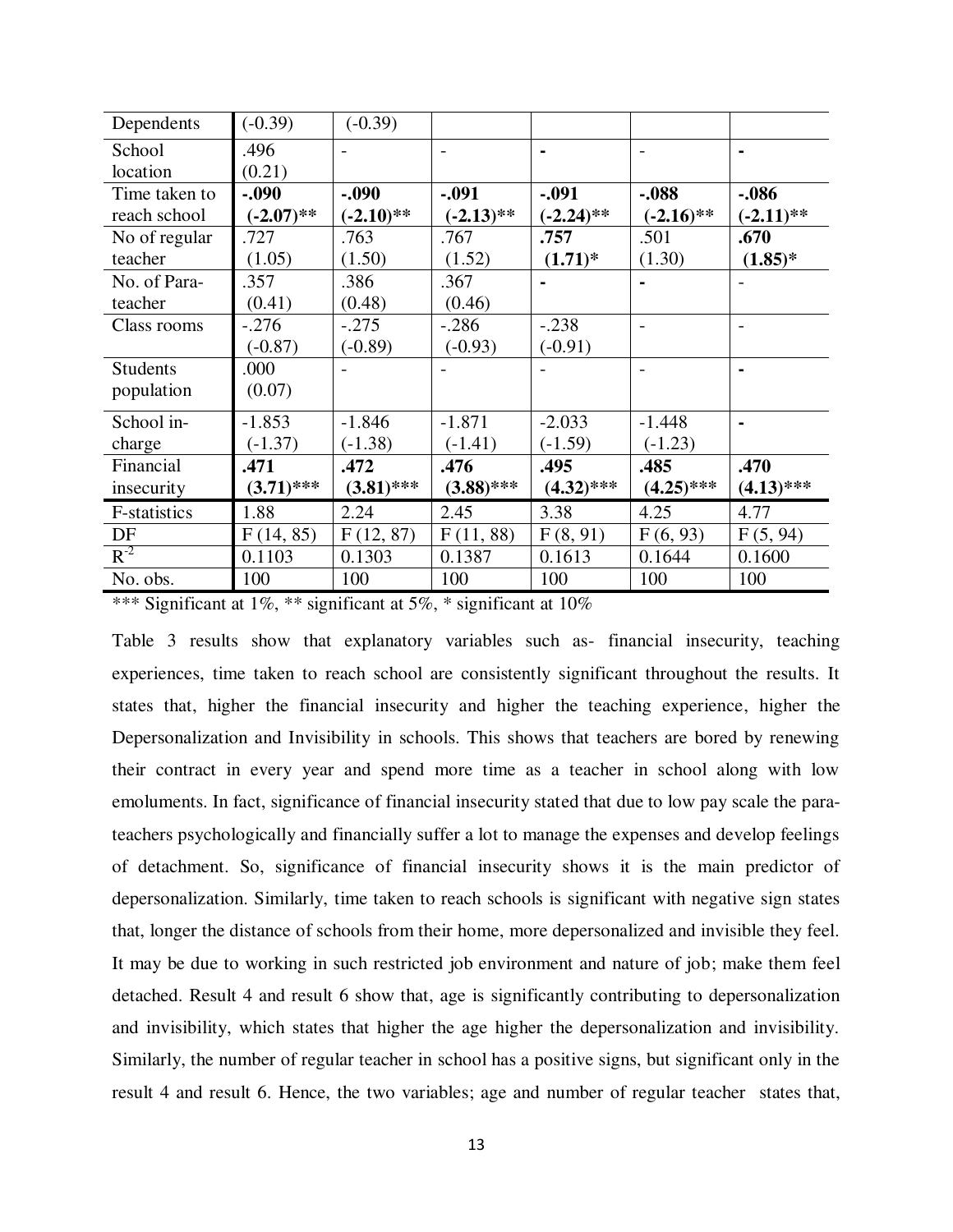| Dependents      | $(-0.39)$    | $(-0.39)$    |              |              |                |                |
|-----------------|--------------|--------------|--------------|--------------|----------------|----------------|
| School          | .496         |              |              |              |                |                |
| location        | (0.21)       |              |              |              |                |                |
| Time taken to   | $-.090$      | $-.090$      | $-.091$      | $-.091$      | $-.088$        | $-.086$        |
| reach school    | $(-2.07)$ ** | $(-2.10)$ ** | $(-2.13)$ ** | $(-2.24)$ ** | $(-2.16)$ **   | $(-2.11)$ **   |
| No of regular   | .727         | .763         | .767         | .757         | .501           | .670           |
| teacher         | (1.05)       | (1.50)       | (1.52)       | $(1.71)^*$   | (1.30)         | $(1.85)^*$     |
| No. of Para-    | .357         | .386         | .367         |              | $\blacksquare$ |                |
| teacher         | (0.41)       | (0.48)       | (0.46)       |              |                |                |
| Class rooms     | $-.276$      | $-.275$      | $-.286$      | $-.238$      |                |                |
|                 | $(-0.87)$    | $(-0.89)$    | $(-0.93)$    | $(-0.91)$    |                |                |
| <b>Students</b> | .000         |              |              |              |                |                |
| population      | (0.07)       |              |              |              |                |                |
| School in-      | $-1.853$     | $-1.846$     | $-1.871$     | $-2.033$     | $-1.448$       | $\blacksquare$ |
| charge          | $(-1.37)$    | $(-1.38)$    | $(-1.41)$    | $(-1.59)$    | $(-1.23)$      |                |
| Financial       | .471         | .472         | .476         | .495         | .485           | .470           |
| insecurity      | $(3.71)$ *** | $(3.81)$ *** | $(3.88)$ *** | $(4.32)$ *** | $(4.25)$ ***   | $(4.13)$ ***   |
| F-statistics    | 1.88         | 2.24         | 2.45         | 3.38         | 4.25           | 4.77           |
| DF              | F(14, 85)    | F(12, 87)    | F(11, 88)    | F(8, 91)     | F(6, 93)       | F(5, 94)       |
| $R^{-2}$        | 0.1103       | 0.1303       | 0.1387       | 0.1613       | 0.1644         | 0.1600         |
| No. obs.        | 100          | 100          | 100          | 100          | 100            | 100            |

Table 3 results show that explanatory variables such as- financial insecurity, teaching experiences, time taken to reach school are consistently significant throughout the results. It states that, higher the financial insecurity and higher the teaching experience, higher the Depersonalization and Invisibility in schools. This shows that teachers are bored by renewing their contract in every year and spend more time as a teacher in school along with low emoluments. In fact, significance of financial insecurity stated that due to low pay scale the parateachers psychologically and financially suffer a lot to manage the expenses and develop feelings of detachment. So, significance of financial insecurity shows it is the main predictor of depersonalization. Similarly, time taken to reach schools is significant with negative sign states that, longer the distance of schools from their home, more depersonalized and invisible they feel. It may be due to working in such restricted job environment and nature of job; make them feel detached. Result 4 and result 6 show that, age is significantly contributing to depersonalization and invisibility, which states that higher the age higher the depersonalization and invisibility. Similarly, the number of regular teacher in school has a positive signs, but significant only in the result 4 and result 6. Hence, the two variables; age and number of regular teacher states that,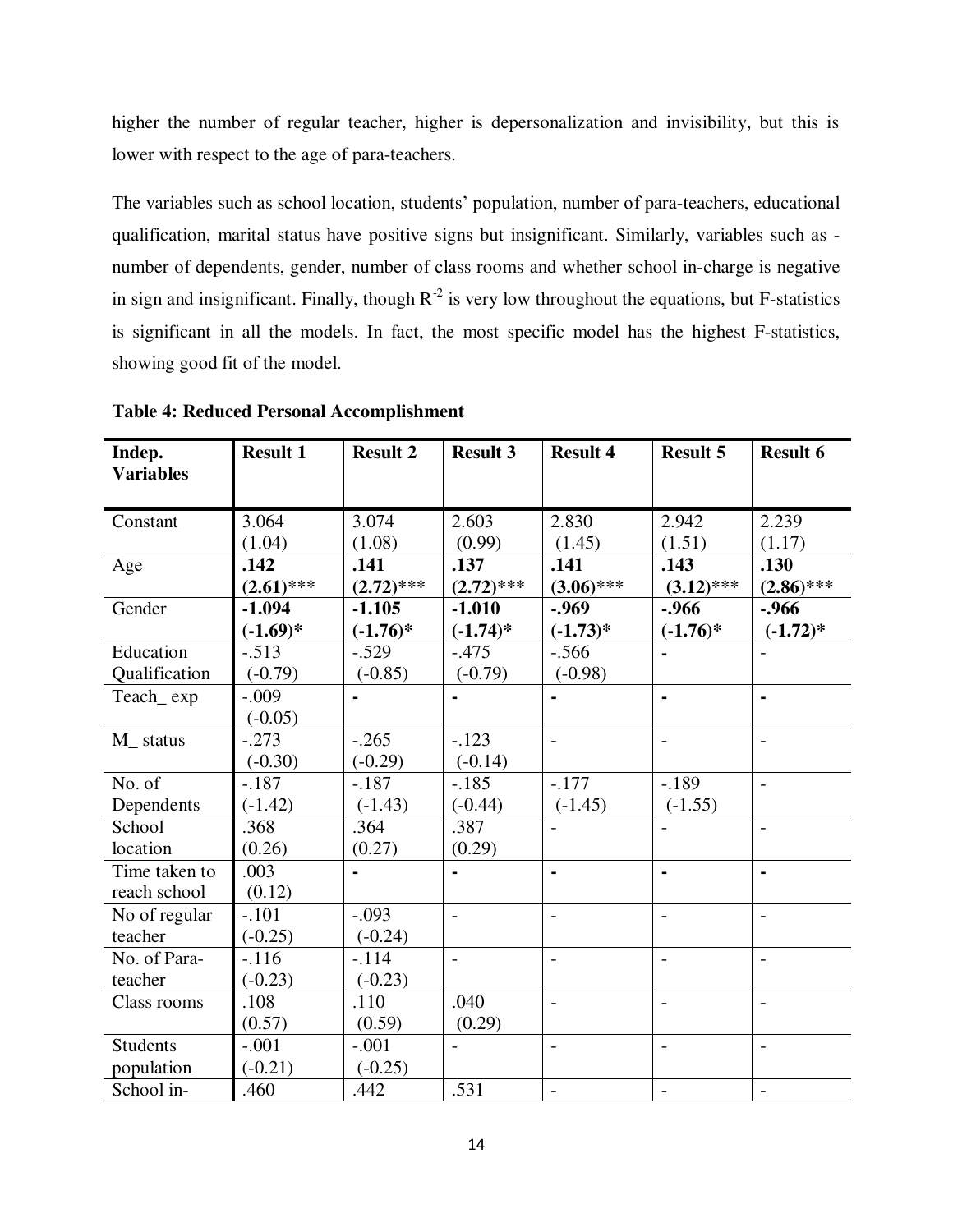higher the number of regular teacher, higher is depersonalization and invisibility, but this is lower with respect to the age of para-teachers.

The variables such as school location, students' population, number of para-teachers, educational qualification, marital status have positive signs but insignificant. Similarly, variables such as number of dependents, gender, number of class rooms and whether school in-charge is negative in sign and insignificant. Finally, though  $R^{-2}$  is very low throughout the equations, but F-statistics is significant in all the models. In fact, the most specific model has the highest F-statistics, showing good fit of the model.

| Indep.           | <b>Result 1</b> | <b>Result 2</b> | <b>Result 3</b> | <b>Result 4</b>          | <b>Result 5</b>          | <b>Result 6</b>          |
|------------------|-----------------|-----------------|-----------------|--------------------------|--------------------------|--------------------------|
| <b>Variables</b> |                 |                 |                 |                          |                          |                          |
|                  |                 |                 |                 |                          |                          |                          |
| Constant         | 3.064           | 3.074           | 2.603           | 2.830                    | 2.942                    | 2.239                    |
|                  | (1.04)          | (1.08)          | (0.99)          | (1.45)                   | (1.51)                   | (1.17)                   |
| Age              | .142            | .141            | .137            | .141                     | .143                     | .130                     |
|                  | $(2.61)$ ***    | $(2.72)$ ***    | $(2.72)$ ***    | $(3.06)$ ***             | $(3.12)$ ***             | $(2.86)$ ***             |
| Gender           | $-1.094$        | $-1.105$        | $-1.010$        | $-0.969$                 | $-0.966$                 | $-0.966$                 |
|                  | $(-1.69)*$      | $(-1.76)^*$     | $(-1.74)$ *     | $(-1.73)*$               | $(-1.76)$ *              | $(-1.72)*$               |
| Education        | $-.513$         | $-.529$         | $-.475$         | $-.566$                  |                          |                          |
| Qualification    | $(-0.79)$       | $(-0.85)$       | $(-0.79)$       | $(-0.98)$                |                          |                          |
| Teach_exp        | $-.009$         |                 |                 |                          | ä,                       | $\blacksquare$           |
|                  | $(-0.05)$       |                 |                 |                          |                          |                          |
| M status         | $-.273$         | $-.265$         | $-.123$         | $\overline{a}$           | $\frac{1}{2}$            | $\overline{\phantom{a}}$ |
|                  | $(-0.30)$       | $(-0.29)$       | $(-0.14)$       |                          |                          |                          |
| No. of           | $-.187$         | $-.187$         | $-.185$         | $-.177$                  | $-189$                   | $\overline{\phantom{a}}$ |
| Dependents       | $(-1.42)$       | $(-1.43)$       | $(-0.44)$       | $(-1.45)$                | $(-1.55)$                |                          |
| School           | .368            | .364            | .387            | $\overline{\phantom{0}}$ | $\overline{\phantom{0}}$ | $\blacksquare$           |
| location         | (0.26)          | (0.27)          | (0.29)          |                          |                          |                          |
| Time taken to    | .003            |                 |                 | $\blacksquare$           | $\blacksquare$           |                          |
| reach school     | (0.12)          |                 |                 |                          |                          |                          |
| No of regular    | $-.101$         | $-.093$         | $\overline{a}$  | $\overline{\phantom{0}}$ | $\overline{\phantom{0}}$ | $\overline{\phantom{a}}$ |
| teacher          | $(-0.25)$       | $(-0.24)$       |                 |                          |                          |                          |
| No. of Para-     | $-.116$         | $-.114$         | $\overline{a}$  | $\overline{\phantom{0}}$ | $\overline{\phantom{0}}$ | $\blacksquare$           |
| teacher          | $(-0.23)$       | $(-0.23)$       |                 |                          |                          |                          |
| Class rooms      | .108            | .110            | .040            | $\overline{a}$           | $\overline{a}$           | $\blacksquare$           |
|                  | (0.57)          | (0.59)          | (0.29)          |                          |                          |                          |
| <b>Students</b>  | $-.001$         | $-.001$         |                 | $\overline{a}$           | $\overline{\phantom{0}}$ | $\overline{a}$           |
| population       | $(-0.21)$       | $(-0.25)$       |                 |                          |                          |                          |
| School in-       | .460            | .442            | .531            | $\overline{a}$           | $\overline{a}$           | $\blacksquare$           |

**Table 4: Reduced Personal Accomplishment**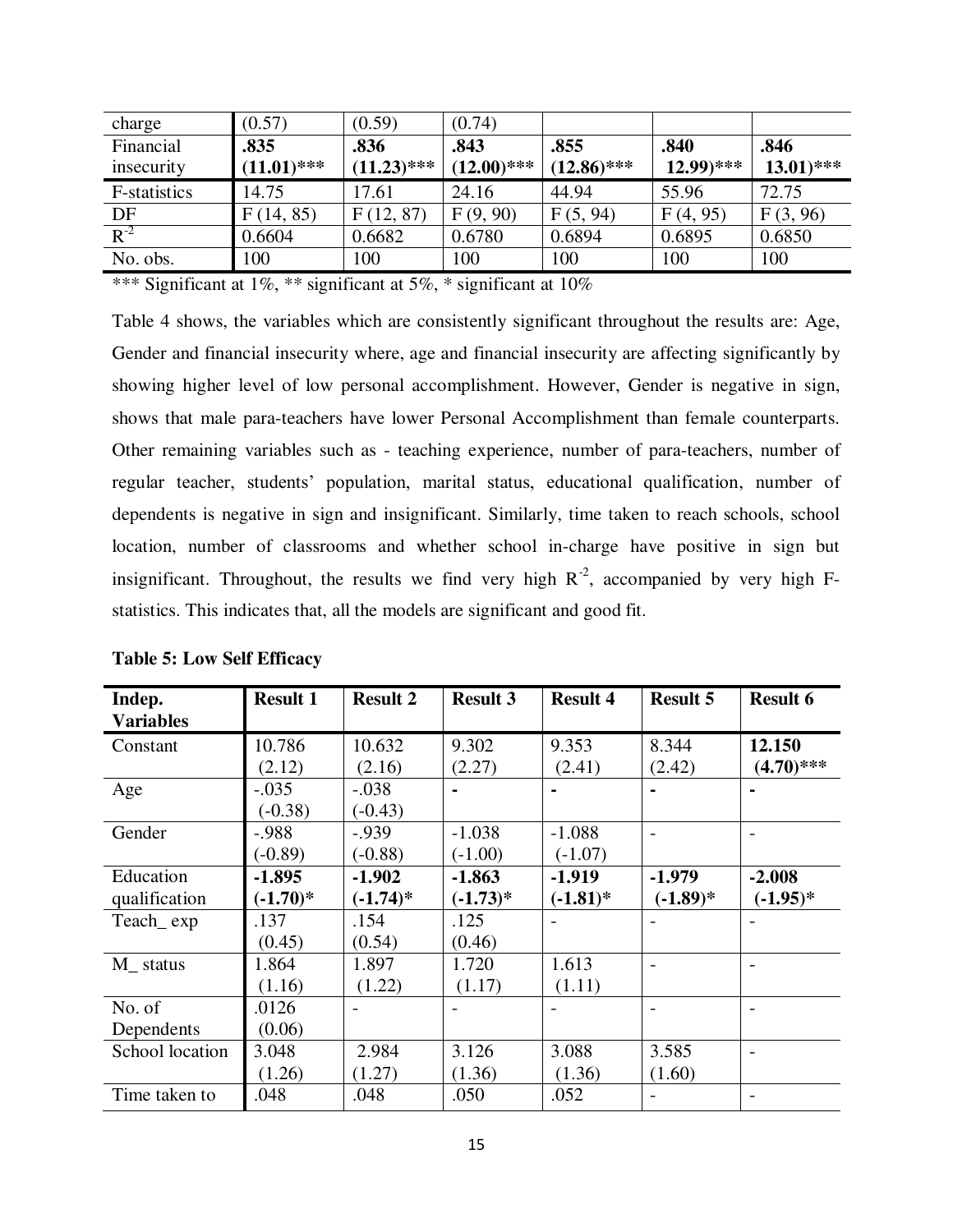| charge       | (0.57)        | (0.59)        | (0.74)        |               |               |               |
|--------------|---------------|---------------|---------------|---------------|---------------|---------------|
| Financial    | .835          | .836          | .843          | .855          | .840          | .846          |
| insecurity   | $(11.01)$ *** | $(11.23)$ *** | $(12.00)$ *** | $(12.86)$ *** | $(12.99)$ *** | $(13.01)$ *** |
| F-statistics | 14.75         | 17.61         | 24.16         | 44.94         | 55.96         | 72.75         |
| DF           | F(14, 85)     | F(12, 87)     | F(9, 90)      | F(5, 94)      | F(4, 95)      | F(3, 96)      |
| $R^{-2}$     | 0.6604        | 0.6682        | 0.6780        | 0.6894        | 0.6895        | 0.6850        |
| No. obs.     | 100           | 100           | 100           | 100           | 100           | 100           |

Table 4 shows, the variables which are consistently significant throughout the results are: Age, Gender and financial insecurity where, age and financial insecurity are affecting significantly by showing higher level of low personal accomplishment. However, Gender is negative in sign, shows that male para-teachers have lower Personal Accomplishment than female counterparts. Other remaining variables such as - teaching experience, number of para-teachers, number of regular teacher, students" population, marital status, educational qualification, number of dependents is negative in sign and insignificant. Similarly, time taken to reach schools, school location, number of classrooms and whether school in-charge have positive in sign but insignificant. Throughout, the results we find very high  $R^{-2}$ , accompanied by very high Fstatistics. This indicates that, all the models are significant and good fit.

| Indep.<br><b>Variables</b> | <b>Result 1</b>        | <b>Result 2</b>         | <b>Result 3</b>        | <b>Result 4</b>         | <b>Result 5</b>        | <b>Result 6</b>        |
|----------------------------|------------------------|-------------------------|------------------------|-------------------------|------------------------|------------------------|
| Constant                   | 10.786<br>(2.12)       | 10.632<br>(2.16)        | 9.302<br>(2.27)        | 9.353<br>(2.41)         | 8.344<br>(2.42)        | 12.150<br>$(4.70)$ *** |
| Age                        | $-.035$<br>$(-0.38)$   | $-.038$<br>$(-0.43)$    |                        |                         |                        |                        |
| Gender                     | $-.988$<br>$(-0.89)$   | $-0.939$<br>$(-0.88)$   | $-1.038$<br>$(-1.00)$  | $-1.088$<br>$(-1.07)$   |                        |                        |
| Education<br>qualification | $-1.895$<br>$(-1.70)*$ | $-1.902$<br>$(-1.74)$ * | $-1.863$<br>$(-1.73)*$ | $-1.919$<br>$(-1.81)^*$ | $-1.979$<br>$(-1.89)*$ | $-2.008$<br>$(-1.95)*$ |
| Teach_exp                  | .137<br>(0.45)         | .154<br>(0.54)          | .125<br>(0.46)         |                         |                        |                        |
| $M_{}$ status              | 1.864<br>(1.16)        | 1.897<br>(1.22)         | 1.720<br>(1.17)        | 1.613<br>(1.11)         |                        |                        |
| No. of<br>Dependents       | .0126<br>(0.06)        |                         |                        |                         |                        |                        |
| School location            | 3.048<br>(1.26)        | 2.984<br>(1.27)         | 3.126<br>(1.36)        | 3.088<br>(1.36)         | 3.585<br>(1.60)        |                        |
| Time taken to              | .048                   | .048                    | .050                   | .052                    |                        |                        |

| <b>Table 5: Low Self Efficacy</b> |  |
|-----------------------------------|--|
|-----------------------------------|--|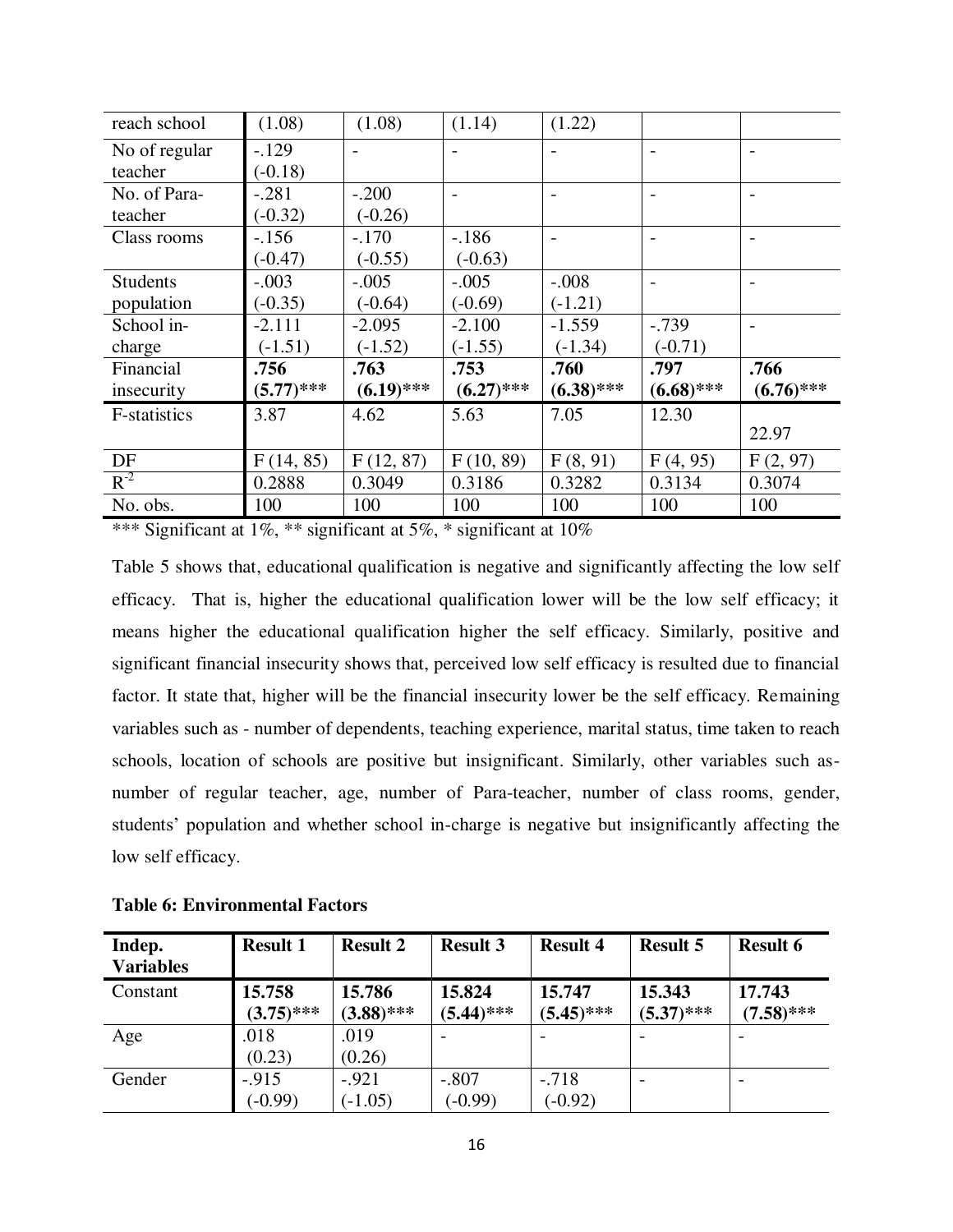| reach school        | (1.08)       | (1.08)       | (1.14)       | (1.22)       |              |              |
|---------------------|--------------|--------------|--------------|--------------|--------------|--------------|
| No of regular       | $-129$       |              |              |              |              |              |
| teacher             | $(-0.18)$    |              |              |              |              |              |
| No. of Para-        | $-.281$      | $-.200$      |              |              |              |              |
| teacher             | $(-0.32)$    | $(-0.26)$    |              |              |              |              |
| Class rooms         | $-156$       | $-.170$      | $-.186$      |              |              |              |
|                     | $(-0.47)$    | $(-0.55)$    | $(-0.63)$    |              |              |              |
| <b>Students</b>     | $-.003$      | $-.005$      | $-.005$      | $-.008$      |              |              |
| population          | $(-0.35)$    | $(-0.64)$    | $(-0.69)$    | $(-1.21)$    |              |              |
| School in-          | $-2.111$     | $-2.095$     | $-2.100$     | $-1.559$     | $-.739$      |              |
| charge              | $(-1.51)$    | $(-1.52)$    | $(-1.55)$    | $(-1.34)$    | $(-0.71)$    |              |
| Financial           | .756         | .763         | .753         | .760         | .797         | .766         |
| insecurity          | $(5.77)$ *** | $(6.19)$ *** | $(6.27)$ *** | $(6.38)$ *** | $(6.68)$ *** | $(6.76)$ *** |
| <b>F-statistics</b> | 3.87         | 4.62         | 5.63         | 7.05         | 12.30        |              |
|                     |              |              |              |              |              | 22.97        |
| DF                  | F(14, 85)    | F(12, 87)    | F(10, 89)    | F(8, 91)     | F(4, 95)     | F(2, 97)     |
| $R^{-2}$            | 0.2888       | 0.3049       | 0.3186       | 0.3282       | 0.3134       | 0.3074       |
| No. obs.            | 100          | 100          | 100          | 100          | 100          | 100          |

Table 5 shows that, educational qualification is negative and significantly affecting the low self efficacy. That is, higher the educational qualification lower will be the low self efficacy; it means higher the educational qualification higher the self efficacy. Similarly, positive and significant financial insecurity shows that, perceived low self efficacy is resulted due to financial factor. It state that, higher will be the financial insecurity lower be the self efficacy. Remaining variables such as - number of dependents, teaching experience, marital status, time taken to reach schools, location of schools are positive but insignificant. Similarly, other variables such asnumber of regular teacher, age, number of Para-teacher, number of class rooms, gender, students" population and whether school in-charge is negative but insignificantly affecting the low self efficacy.

| Indep.<br><b>Variables</b> | <b>Result 1</b>        | <b>Result 2</b>        | <b>Result 3</b>        | <b>Result 4</b>        | <b>Result 5</b>        | <b>Result 6</b>        |
|----------------------------|------------------------|------------------------|------------------------|------------------------|------------------------|------------------------|
| Constant                   | 15.758<br>$(3.75)$ *** | 15.786<br>$(3.88)$ *** | 15.824<br>$(5.44)$ *** | 15.747<br>$(5.45)$ *** | 15.343<br>$(5.37)$ *** | 17.743<br>$(7.58)$ *** |
| Age                        | .018<br>(0.23)         | .019<br>(0.26)         |                        |                        |                        |                        |
| Gender                     | $-.915$<br>$(-0.99)$   | $-.921$<br>$(-1.05)$   | $-.807$<br>$(-0.99)$   | $-.718$<br>$(-0.92)$   |                        |                        |

|  | <b>Table 6: Environmental Factors</b> |  |
|--|---------------------------------------|--|
|--|---------------------------------------|--|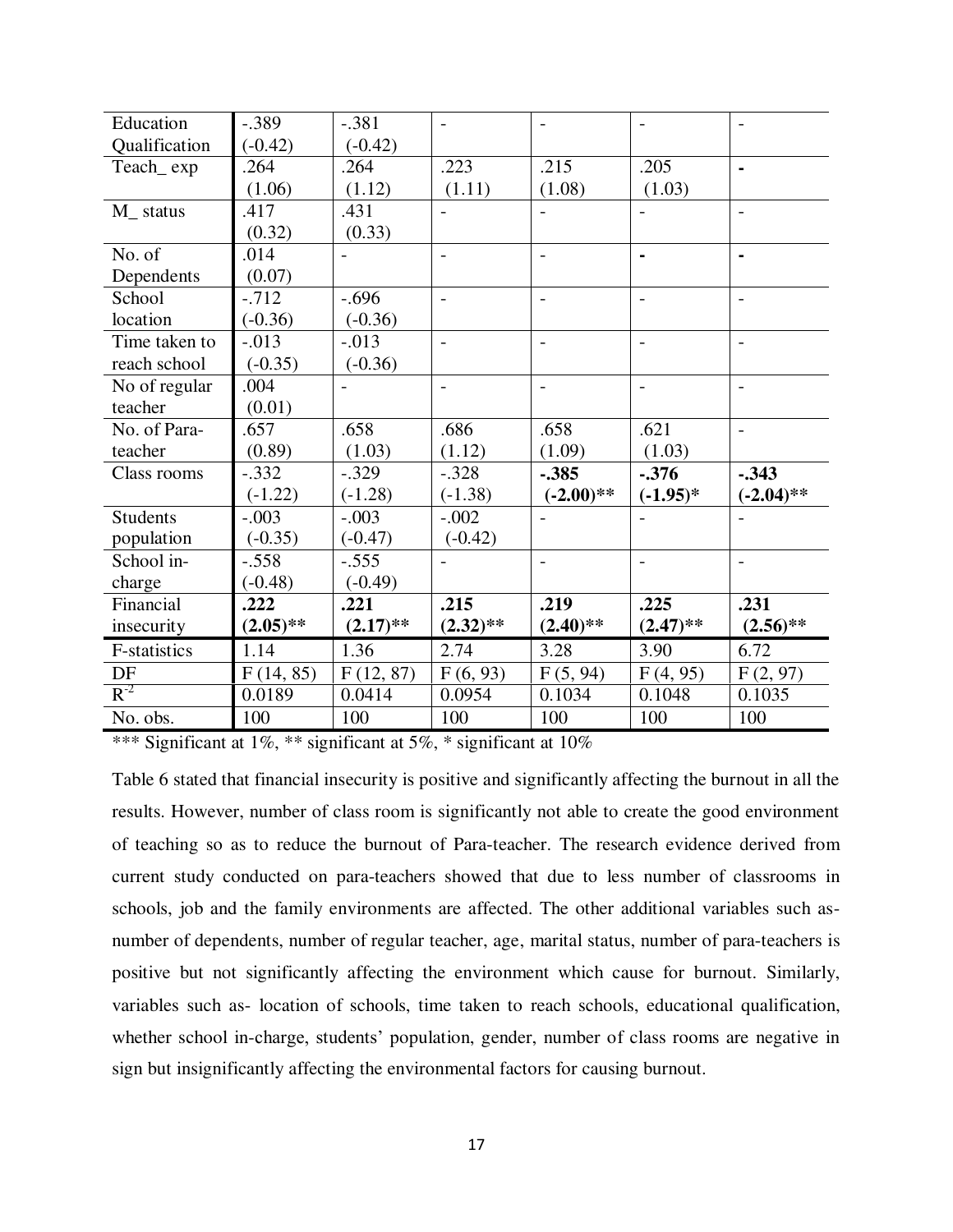| Education           | $-.389$     | $-.381$        |                          |                          |                          |                          |
|---------------------|-------------|----------------|--------------------------|--------------------------|--------------------------|--------------------------|
| Qualification       | $(-0.42)$   | $(-0.42)$      |                          |                          |                          |                          |
| Teach_exp           | .264        | .264           | .223                     | .215                     | .205                     | $\blacksquare$           |
|                     | (1.06)      | (1.12)         | (1.11)                   | (1.08)                   | (1.03)                   |                          |
| M status            | .417        | .431           |                          |                          | $\overline{\phantom{0}}$ | $\overline{\phantom{a}}$ |
|                     | (0.32)      | (0.33)         |                          |                          |                          |                          |
| No. of              | .014        | $\blacksquare$ | $\blacksquare$           | $\overline{\phantom{0}}$ | $\blacksquare$           | $\blacksquare$           |
| Dependents          | (0.07)      |                |                          |                          |                          |                          |
| School              | $-712$      | $-.696$        | $\blacksquare$           | $\overline{\phantom{a}}$ | $\overline{\phantom{0}}$ | $\overline{\phantom{a}}$ |
| location            | $(-0.36)$   | $(-0.36)$      |                          |                          |                          |                          |
| Time taken to       | $-.013$     | $-.013$        | $\overline{\phantom{a}}$ | $\qquad \qquad -$        | $\overline{\phantom{0}}$ | $\overline{\phantom{a}}$ |
| reach school        | $(-0.35)$   | $(-0.36)$      |                          |                          |                          |                          |
| No of regular       | .004        |                | $\overline{a}$           | $\overline{\phantom{a}}$ | $\overline{a}$           | $\overline{\phantom{a}}$ |
| teacher             | (0.01)      |                |                          |                          |                          |                          |
| No. of Para-        | .657        | .658           | .686                     | .658                     | .621                     | $\mathbf{r}$             |
| teacher             | (0.89)      | (1.03)         | (1.12)                   | (1.09)                   | (1.03)                   |                          |
| Class rooms         | $-.332$     | $-.329$        | $-.328$                  | $-.385$                  | $-0.376$                 | $-.343$                  |
|                     | $(-1.22)$   | $(-1.28)$      | $(-1.38)$                | $(-2.00)$ **             | $(-1.95)*$               | $(-2.04)$ **             |
| <b>Students</b>     | $-.003$     | $-.003$        | $-.002$                  |                          |                          |                          |
| population          | $(-0.35)$   | $(-0.47)$      | $(-0.42)$                |                          |                          |                          |
| School in-          | $-.558$     | $-.555$        |                          | $\overline{\phantom{0}}$ | $\overline{\phantom{a}}$ | $\overline{\phantom{a}}$ |
| charge              | $(-0.48)$   | $(-0.49)$      |                          |                          |                          |                          |
| Financial           | .222        | .221           | .215                     | .219                     | .225                     | .231                     |
| insecurity          | $(2.05)$ ** | $(2.17)$ **    | $(2.32)$ **              | $(2.40)$ **              | $(2.47)$ **              | $(2.56)$ **              |
| <b>F-statistics</b> | 1.14        | 1.36           | 2.74                     | 3.28                     | 3.90                     | 6.72                     |
| DF                  | F(14, 85)   | F(12, 87)      | F(6, 93)                 | F(5, 94)                 | F(4, 95)                 | F(2, 97)                 |
| $R^{-2}$            | 0.0189      | 0.0414         | 0.0954                   | 0.1034                   | 0.1048                   | 0.1035                   |
| No. obs.            | 100         | 100            | 100                      | 100                      | 100                      | 100                      |

Table 6 stated that financial insecurity is positive and significantly affecting the burnout in all the results. However, number of class room is significantly not able to create the good environment of teaching so as to reduce the burnout of Para-teacher. The research evidence derived from current study conducted on para-teachers showed that due to less number of classrooms in schools, job and the family environments are affected. The other additional variables such asnumber of dependents, number of regular teacher, age, marital status, number of para-teachers is positive but not significantly affecting the environment which cause for burnout. Similarly, variables such as- location of schools, time taken to reach schools, educational qualification, whether school in-charge, students' population, gender, number of class rooms are negative in sign but insignificantly affecting the environmental factors for causing burnout.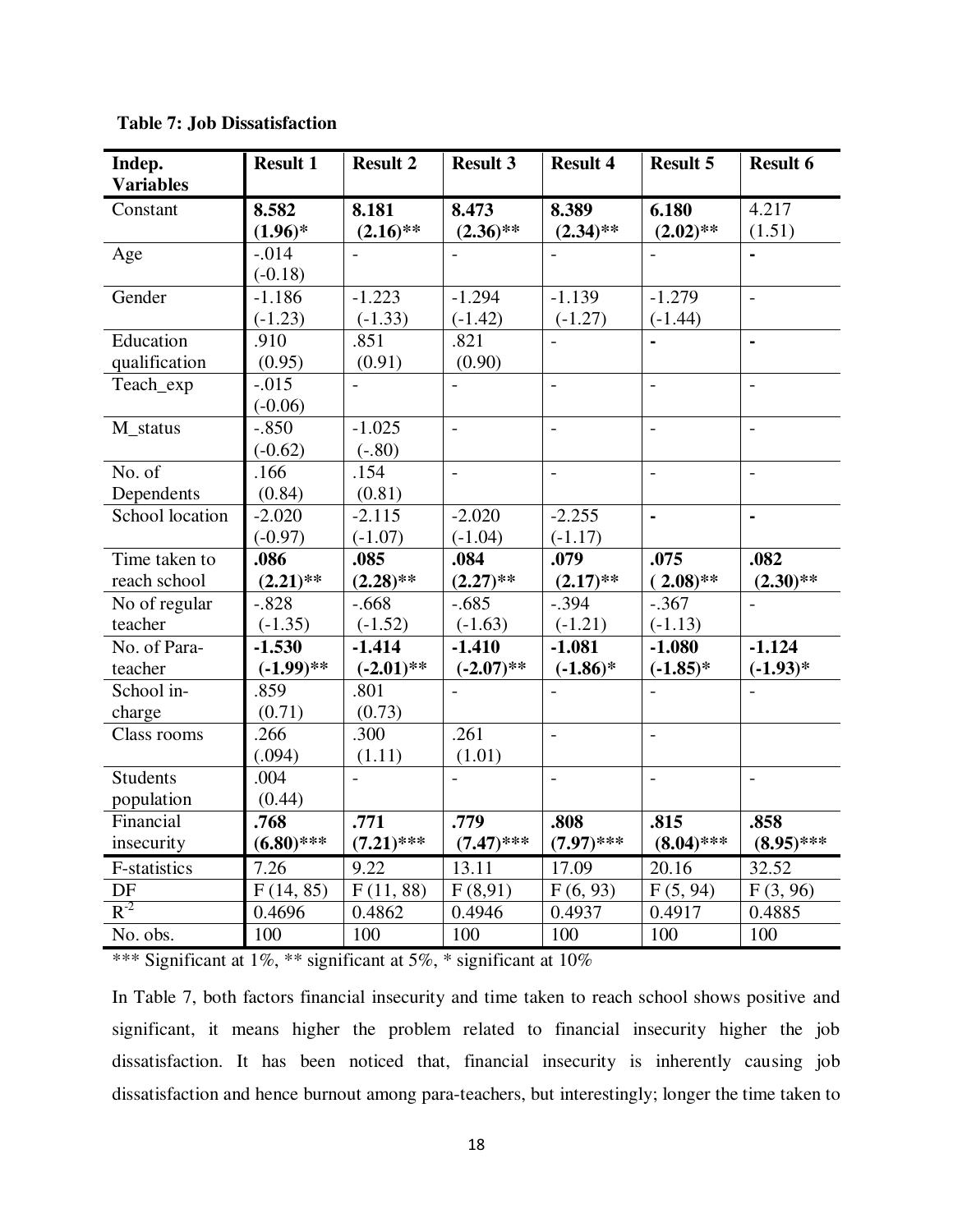| Indep.<br><b>Variables</b> | <b>Result 1</b> | <b>Result 2</b>          | <b>Result 3</b>          | <b>Result 4</b> | <b>Result 5</b>          | <b>Result 6</b>          |
|----------------------------|-----------------|--------------------------|--------------------------|-----------------|--------------------------|--------------------------|
| Constant                   | 8.582           | 8.181                    | 8.473                    | 8.389           | 6.180                    | 4.217                    |
|                            | $(1.96)^*$      | $(2.16)$ **              | $(2.36)$ **              | $(2.34)$ **     | $(2.02)$ **              | (1.51)                   |
| Age                        | $-.014$         |                          |                          |                 |                          |                          |
|                            | $(-0.18)$       |                          |                          |                 |                          |                          |
| Gender                     | $-1.186$        | $-1.223$                 | $-1.294$                 | $-1.139$        | $-1.279$                 | $\blacksquare$           |
|                            | $(-1.23)$       | $(-1.33)$                | $(-1.42)$                | $(-1.27)$       | $(-1.44)$                |                          |
| Education                  | .910            | .851                     | .821                     | $\overline{a}$  |                          | $\blacksquare$           |
| qualification              | (0.95)          | (0.91)                   | (0.90)                   |                 |                          |                          |
| Teach_exp                  | $-.015$         | $\overline{\phantom{a}}$ | $\overline{a}$           | $\overline{a}$  | $\overline{a}$           | $\overline{a}$           |
|                            | $(-0.06)$       |                          |                          |                 |                          |                          |
| M_status                   | $-.850$         | $-1.025$                 | $\overline{\phantom{a}}$ | $\overline{a}$  | $\overline{a}$           | $\overline{\phantom{a}}$ |
|                            | $(-0.62)$       | $(-.80)$                 |                          |                 |                          |                          |
| No. of                     | .166            | .154                     | $\overline{a}$           | $\overline{a}$  | $\overline{\phantom{a}}$ | $\overline{\phantom{a}}$ |
| Dependents                 | (0.84)          | (0.81)                   |                          |                 |                          |                          |
| School location            | $-2.020$        | $-2.115$                 | $-2.020$                 | $-2.255$        | $\blacksquare$           | $\blacksquare$           |
|                            | $(-0.97)$       | $(-1.07)$                | $(-1.04)$                | $(-1.17)$       |                          |                          |
| Time taken to              | .086            | .085                     | .084                     | .079            | .075                     | .082                     |
| reach school               | $(2.21)$ **     | $(2.28)$ **              | $(2.27)$ **              | $(2.17)$ **     | $(.2.08)$ **             | $(2.30)$ **              |
| No of regular              | $-.828$         | $-.668$                  | $-.685$                  | $-.394$         | $-.367$                  |                          |
| teacher                    | $(-1.35)$       | $(-1.52)$                | $(-1.63)$                | $(-1.21)$       | $(-1.13)$                |                          |
| No. of Para-               | $-1.530$        | $-1.414$                 | $-1.410$                 | $-1.081$        | $-1.080$                 | $-1.124$                 |
| teacher                    | $(-1.99)$ **    | $(-2.01)$ **             | $(-2.07)$ **             | $(-1.86)$ *     | $(-1.85)*$               | $(-1.93)*$               |
| School in-                 | .859            | .801                     | $\overline{a}$           |                 |                          |                          |
| charge                     | (0.71)          | (0.73)                   |                          |                 |                          |                          |
| Class rooms                | .266            | .300                     | .261                     | $\overline{a}$  | $\overline{\phantom{a}}$ |                          |
|                            | (.094)          | (1.11)                   | (1.01)                   |                 |                          |                          |
| <b>Students</b>            | .004            | $\sim$                   | $\overline{a}$           | $\overline{a}$  | $\overline{a}$           | $\mathbf{r}$             |
| population                 | (0.44)          |                          |                          |                 |                          |                          |
| Financial                  | .768            | .771                     | .779                     | .808            | .815                     | .858                     |
| insecurity                 | $(6.80)$ ***    | $(7.21)$ ***             | $(7.47)$ ***             | $(7.97)$ ***    | $(8.04)$ ***             | $(8.95)$ ***             |
| F-statistics               | 7.26            | 9.22                     | 13.11                    | 17.09           | 20.16                    | 32.52                    |
| $\rm DF$                   | F(14, 85)       | F(11, 88)                | F(8,91)                  | F(6, 93)        | F(5, 94)                 | F(3, 96)                 |
| $R^{-2}$                   | 0.4696          | 0.4862                   | 0.4946                   | 0.4937          | 0.4917                   | 0.4885                   |
| No. obs.                   | 100             | 100                      | 100                      | 100             | 100                      | 100                      |

**Table 7: Job Dissatisfaction** 

In Table 7, both factors financial insecurity and time taken to reach school shows positive and significant, it means higher the problem related to financial insecurity higher the job dissatisfaction. It has been noticed that, financial insecurity is inherently causing job dissatisfaction and hence burnout among para-teachers, but interestingly; longer the time taken to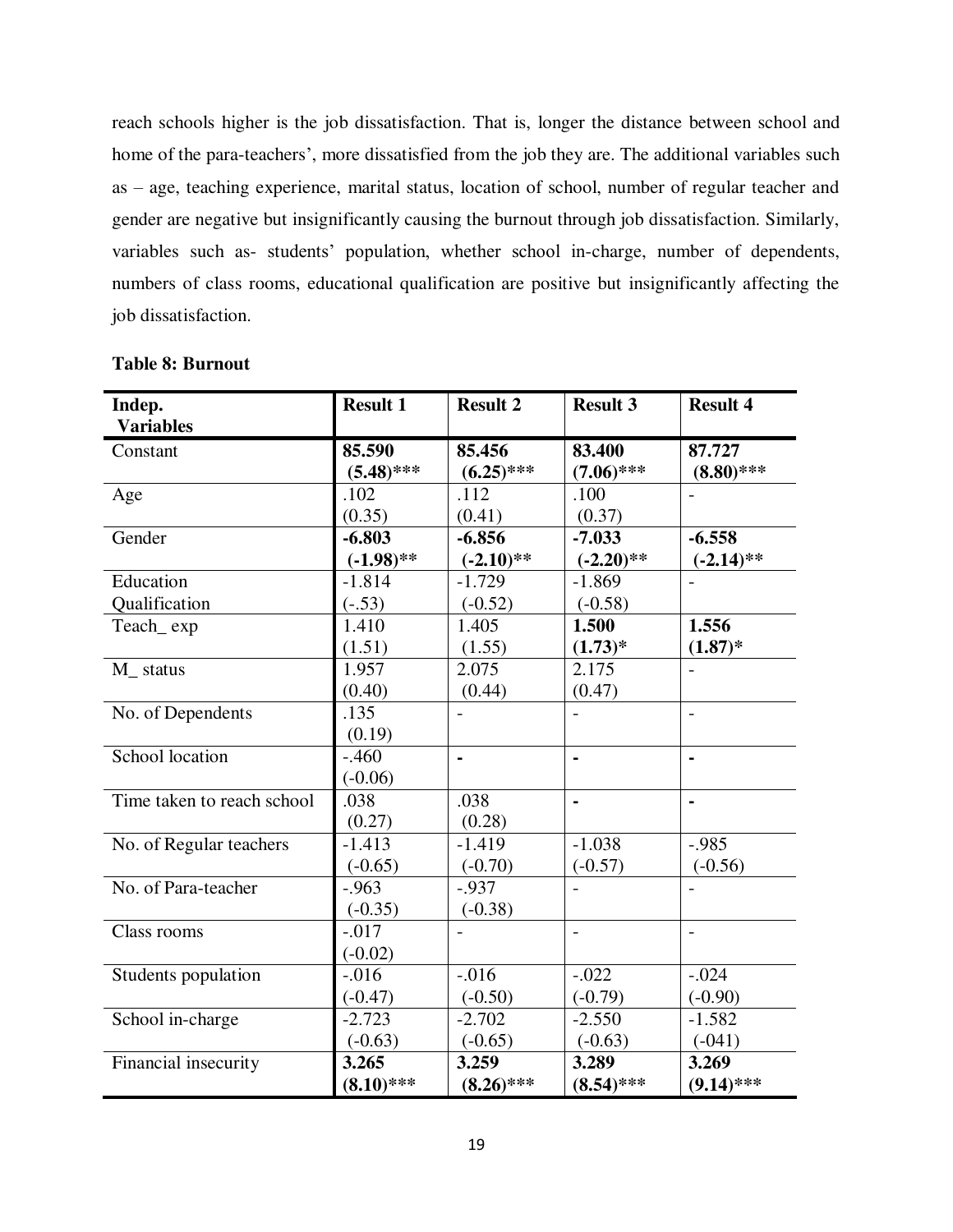reach schools higher is the job dissatisfaction. That is, longer the distance between school and home of the para-teachers', more dissatisfied from the job they are. The additional variables such as – age, teaching experience, marital status, location of school, number of regular teacher and gender are negative but insignificantly causing the burnout through job dissatisfaction. Similarly, variables such as- students' population, whether school in-charge, number of dependents, numbers of class rooms, educational qualification are positive but insignificantly affecting the job dissatisfaction.

| Indep.                     | <b>Result 1</b> | <b>Result 2</b>          | <b>Result 3</b>          | <b>Result 4</b>          |
|----------------------------|-----------------|--------------------------|--------------------------|--------------------------|
| <b>Variables</b>           |                 |                          |                          |                          |
| Constant                   | 85.590          | 85.456                   | 83.400                   | 87.727                   |
|                            | $(5.48)$ ***    | $(6.25)$ ***             | $(7.06)$ ***             | $(8.80)$ ***             |
| Age                        | .102            | .112                     | .100                     |                          |
|                            | (0.35)          | (0.41)                   | (0.37)                   |                          |
| Gender                     | $-6.803$        | $-6.856$                 | $-7.033$                 | $-6.558$                 |
|                            | $(-1.98)$ **    | $(-2.10)$ **             | $(-2.20)$ **             | $(-2.14)$ **             |
| Education                  | $-1.814$        | $-1.729$                 | $-1.869$                 |                          |
| Qualification              | $(-.53)$        | $(-0.52)$                | $(-0.58)$                |                          |
| Teach exp                  | 1.410           | 1.405                    | 1.500                    | 1.556                    |
|                            | (1.51)          | (1.55)                   | $(1.73)*$                | $(1.87)*$                |
| M_ status                  | 1.957           | 2.075                    | 2.175                    |                          |
|                            | (0.40)          | (0.44)                   | (0.47)                   |                          |
| No. of Dependents          | .135            | $\overline{\phantom{a}}$ |                          | $\overline{\phantom{0}}$ |
|                            | (0.19)          |                          |                          |                          |
| School location            | $-.460$         |                          |                          |                          |
|                            | $(-0.06)$       |                          |                          |                          |
| Time taken to reach school | .038            | .038                     | $\blacksquare$           |                          |
|                            | (0.27)          | (0.28)                   |                          |                          |
| No. of Regular teachers    | $-1.413$        | $-1.419$                 | $-1.038$                 | $-0.985$                 |
|                            | $(-0.65)$       | $(-0.70)$                | $(-0.57)$                | $(-0.56)$                |
| No. of Para-teacher        | $-0.963$        | $-0.937$                 |                          |                          |
|                            | $(-0.35)$       | $(-0.38)$                |                          |                          |
| Class rooms                | $-.017$         |                          | $\overline{\phantom{a}}$ | $\frac{1}{2}$            |
|                            | $(-0.02)$       |                          |                          |                          |
| Students population        | $-0.016$        | $-.016$                  | $-.022$                  | $-.024$                  |
|                            | $(-0.47)$       | $(-0.50)$                | $(-0.79)$                | $(-0.90)$                |
| School in-charge           | $-2.723$        | $-2.702$                 | $-2.550$                 | $-1.582$                 |
|                            | $(-0.63)$       | $(-0.65)$                | $(-0.63)$                | $(-041)$                 |
| Financial insecurity       | 3.265           | 3.259                    | 3.289                    | 3.269                    |
|                            | $(8.10)$ ***    | $(8.26)$ ***             | $(8.54)$ ***             | $(9.14)$ ***             |

#### **Table 8: Burnout**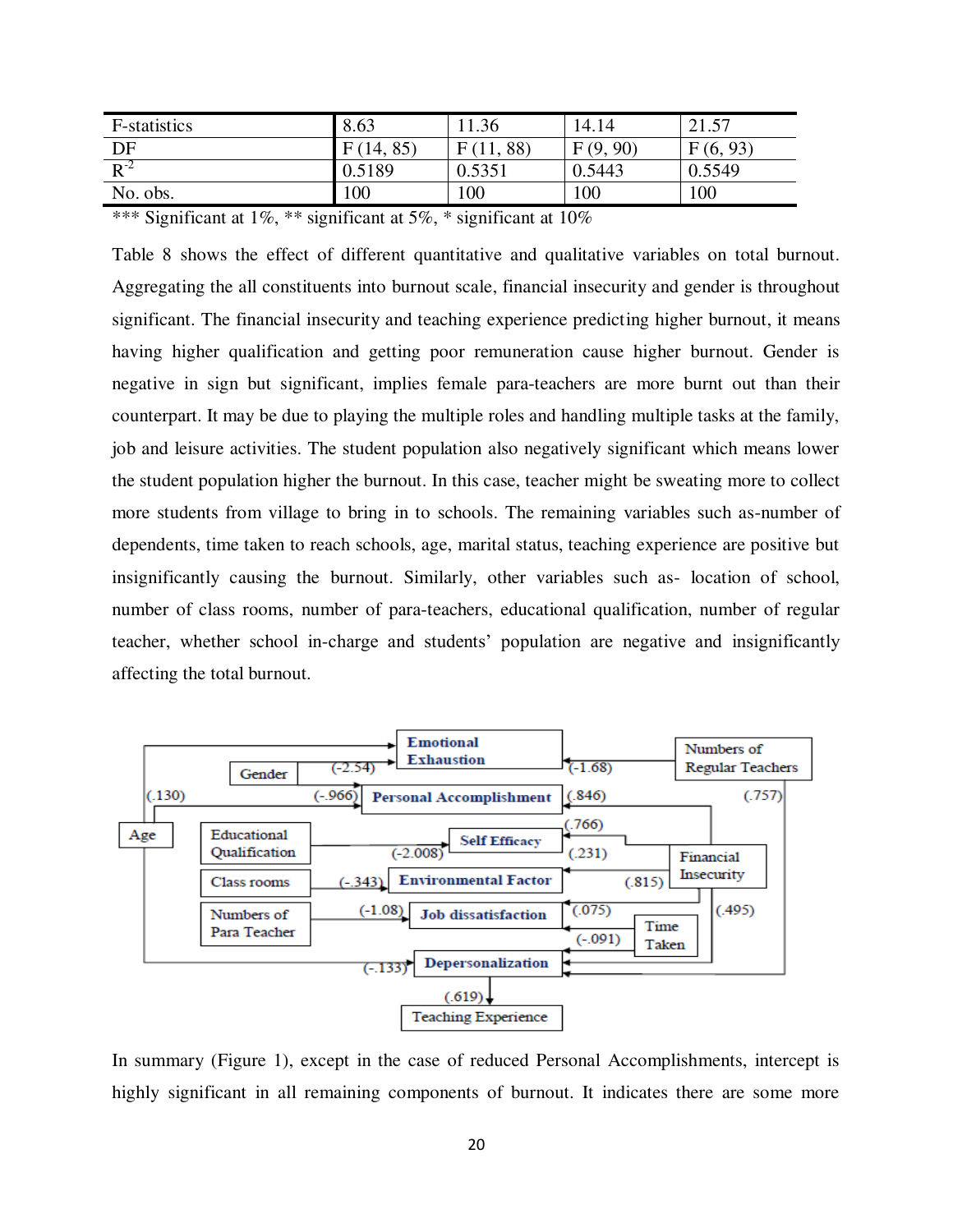| F-statistics | 8.63      | 1.36           | 14.14    | 21.57    |  |  |
|--------------|-----------|----------------|----------|----------|--|--|
| DF           | F(14, 85) | , 88)<br>F(11, | F(9, 90) | F(6, 93) |  |  |
| $R^{-2}$     | 0.5189    | 0.5351         | 0.5443   | 0.5549   |  |  |
| No. obs.     | 100       | 100            | 100      | 100      |  |  |
|              |           |                |          |          |  |  |

Table 8 shows the effect of different quantitative and qualitative variables on total burnout. Aggregating the all constituents into burnout scale, financial insecurity and gender is throughout significant. The financial insecurity and teaching experience predicting higher burnout, it means having higher qualification and getting poor remuneration cause higher burnout. Gender is negative in sign but significant, implies female para-teachers are more burnt out than their counterpart. It may be due to playing the multiple roles and handling multiple tasks at the family, job and leisure activities. The student population also negatively significant which means lower the student population higher the burnout. In this case, teacher might be sweating more to collect more students from village to bring in to schools. The remaining variables such as-number of dependents, time taken to reach schools, age, marital status, teaching experience are positive but insignificantly causing the burnout. Similarly, other variables such as- location of school, number of class rooms, number of para-teachers, educational qualification, number of regular teacher, whether school in-charge and students" population are negative and insignificantly affecting the total burnout.



In summary (Figure 1), except in the case of reduced Personal Accomplishments, intercept is highly significant in all remaining components of burnout. It indicates there are some more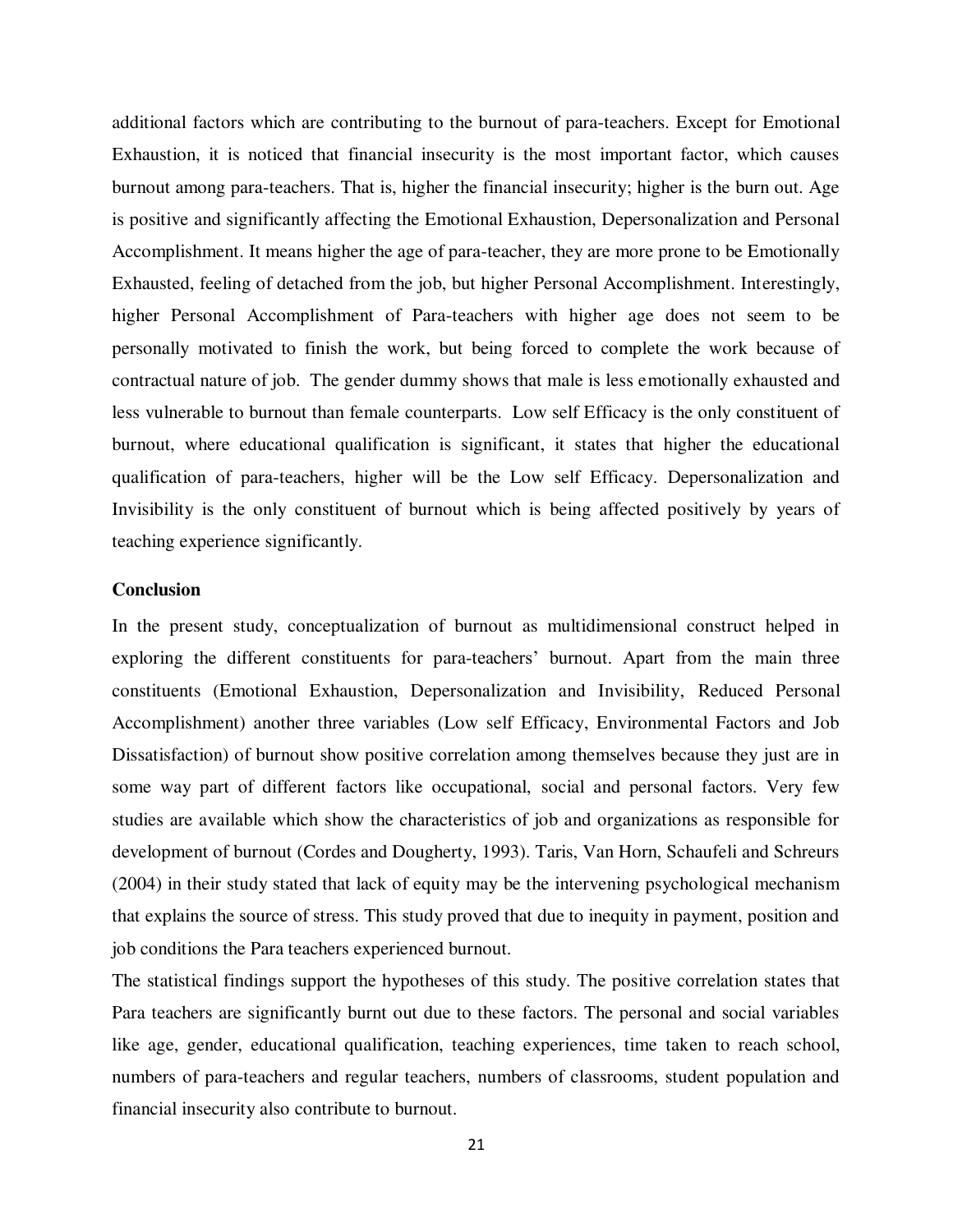additional factors which are contributing to the burnout of para-teachers. Except for Emotional Exhaustion, it is noticed that financial insecurity is the most important factor, which causes burnout among para-teachers. That is, higher the financial insecurity; higher is the burn out. Age is positive and significantly affecting the Emotional Exhaustion, Depersonalization and Personal Accomplishment. It means higher the age of para-teacher, they are more prone to be Emotionally Exhausted, feeling of detached from the job, but higher Personal Accomplishment. Interestingly, higher Personal Accomplishment of Para-teachers with higher age does not seem to be personally motivated to finish the work, but being forced to complete the work because of contractual nature of job. The gender dummy shows that male is less emotionally exhausted and less vulnerable to burnout than female counterparts. Low self Efficacy is the only constituent of burnout, where educational qualification is significant, it states that higher the educational qualification of para-teachers, higher will be the Low self Efficacy. Depersonalization and Invisibility is the only constituent of burnout which is being affected positively by years of teaching experience significantly.

#### **Conclusion**

In the present study, conceptualization of burnout as multidimensional construct helped in exploring the different constituents for para-teachers' burnout. Apart from the main three constituents (Emotional Exhaustion, Depersonalization and Invisibility, Reduced Personal Accomplishment) another three variables (Low self Efficacy, Environmental Factors and Job Dissatisfaction) of burnout show positive correlation among themselves because they just are in some way part of different factors like occupational, social and personal factors. Very few studies are available which show the characteristics of job and organizations as responsible for development of burnout (Cordes and Dougherty, 1993). Taris, Van Horn, Schaufeli and Schreurs (2004) in their study stated that lack of equity may be the intervening psychological mechanism that explains the source of stress. This study proved that due to inequity in payment, position and job conditions the Para teachers experienced burnout.

The statistical findings support the hypotheses of this study. The positive correlation states that Para teachers are significantly burnt out due to these factors. The personal and social variables like age, gender, educational qualification, teaching experiences, time taken to reach school, numbers of para-teachers and regular teachers, numbers of classrooms, student population and financial insecurity also contribute to burnout.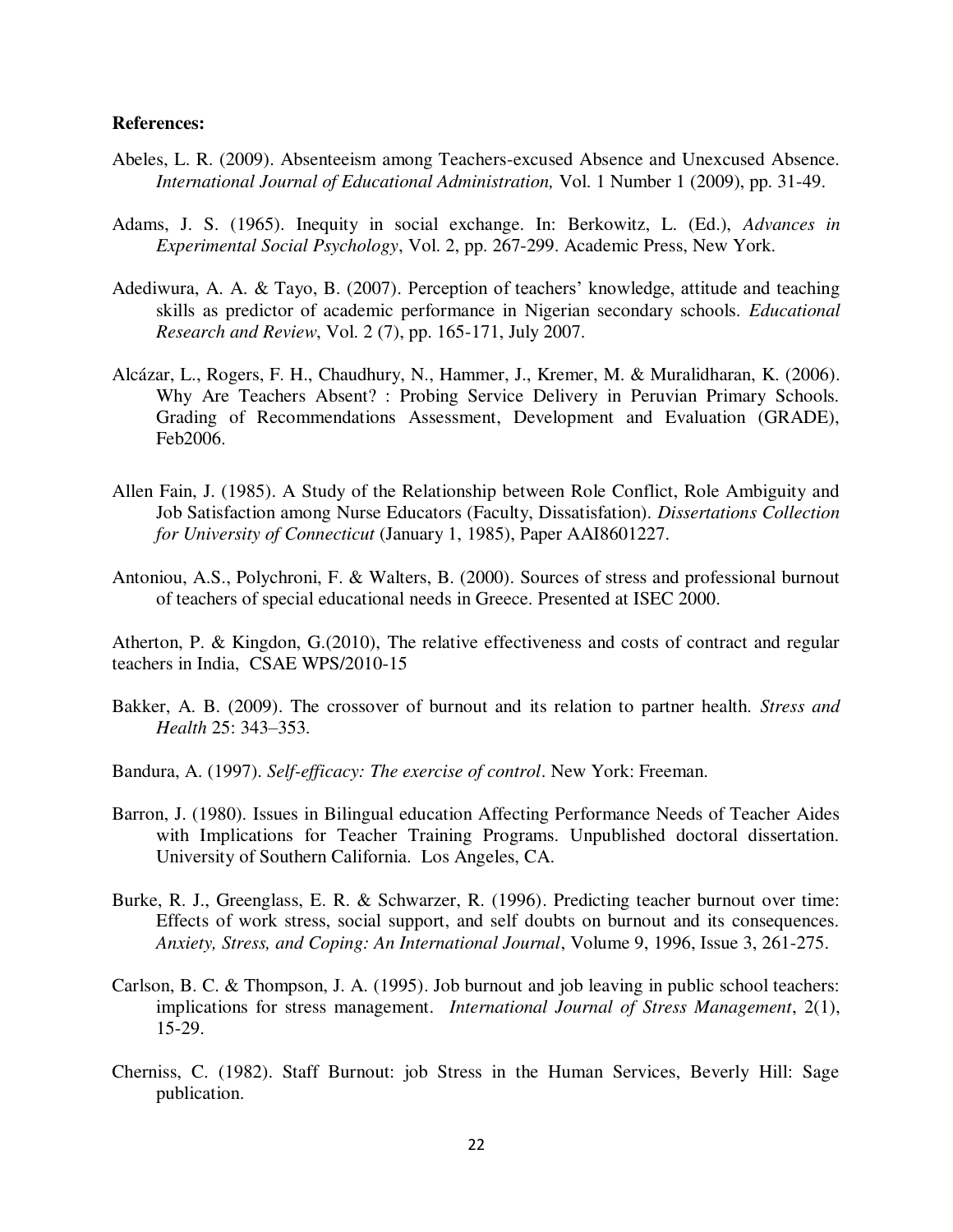#### **References:**

- Abeles, L. R. (2009). Absenteeism among Teachers-excused Absence and Unexcused Absence. *International Journal of Educational Administration,* Vol. 1 Number 1 (2009), pp. 31-49.
- Adams, J. S. (1965). Inequity in social exchange. In: Berkowitz, L. (Ed.), *Advances in Experimental Social Psychology*, Vol. 2, pp. 267-299. Academic Press, New York.
- Adediwura, A. A. & Tayo, B. (2007). Perception of teachers' knowledge, attitude and teaching skills as predictor of academic performance in Nigerian secondary schools. *Educational Research and Review*, Vol. 2 (7), pp. 165-171, July 2007.
- Alcázar, L., Rogers, F. H., Chaudhury, N., Hammer, J., Kremer, M. & Muralidharan, K. (2006). Why Are Teachers Absent? : Probing Service Delivery in Peruvian Primary Schools. Grading of Recommendations Assessment, Development and Evaluation (GRADE), Feb2006.
- Allen Fain, J. (1985). A Study of the Relationship between Role Conflict, Role Ambiguity and Job Satisfaction among Nurse Educators (Faculty, Dissatisfation). *Dissertations Collection for University of Connecticut* (January 1, 1985), Paper AAI8601227.
- Antoniou, A.S., Polychroni, F. & Walters, B. (2000). Sources of stress and professional burnout of teachers of special educational needs in Greece. Presented at ISEC 2000.

Atherton, P. & Kingdon, G.(2010), The relative effectiveness and costs of contract and regular teachers in India, CSAE WPS/2010-15

- Bakker, A. B. (2009). The crossover of burnout and its relation to partner health. *Stress and Health* 25: 343–353.
- Bandura, A. (1997). *Self-efficacy: The exercise of control*. New York: Freeman.
- Barron, J. (1980). Issues in Bilingual education Affecting Performance Needs of Teacher Aides with Implications for Teacher Training Programs. Unpublished doctoral dissertation. University of Southern California. Los Angeles, CA.
- Burke, R. J., Greenglass, E. R. & Schwarzer, R. (1996). Predicting teacher burnout over time: Effects of work stress, social support, and self doubts on burnout and its consequences. *Anxiety, Stress, and Coping: An International Journal*, Volume 9, 1996, Issue 3, 261-275.
- Carlson, B. C. & Thompson, J. A. (1995). Job burnout and job leaving in public school teachers: implications for stress management. *International Journal of Stress Management*, 2(1), 15-29.
- Cherniss, C. (1982). Staff Burnout: job Stress in the Human Services, Beverly Hill: Sage publication.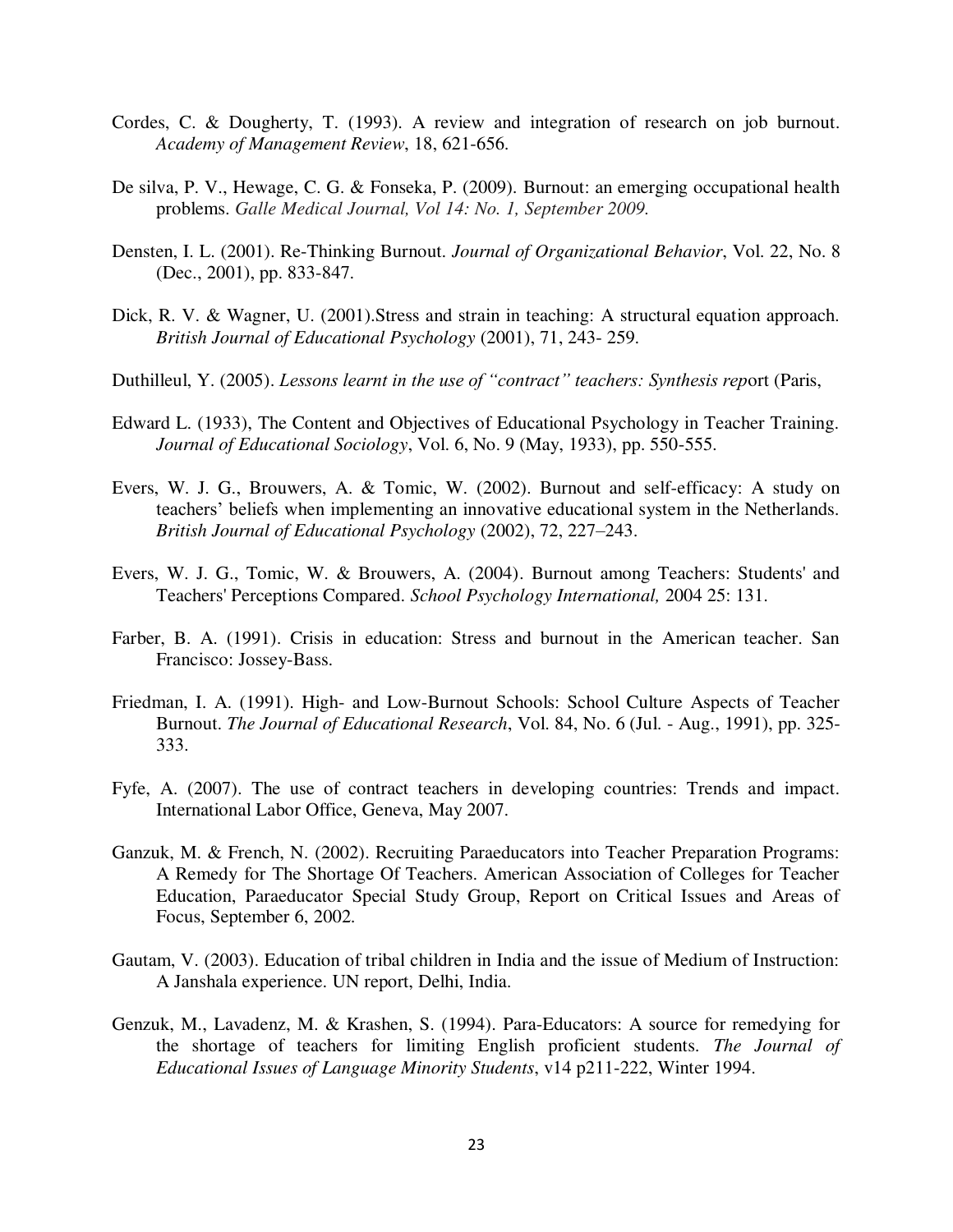- Cordes, C. & Dougherty, T. (1993). A review and integration of research on job burnout. *Academy of Management Review*, 18, 621-656.
- De silva, P. V., Hewage, C. G. & Fonseka, P. (2009). Burnout: an emerging occupational health problems. *Galle Medical Journal, Vol 14: No. 1, September 2009.*
- Densten, I. L. (2001). Re-Thinking Burnout. *Journal of Organizational Behavior*, Vol. 22, No. 8 (Dec., 2001), pp. 833-847.
- Dick, R. V. & Wagner, U. (2001). Stress and strain in teaching: A structural equation approach. *British Journal of Educational Psychology* (2001), 71, 243- 259.
- Duthilleul, Y. (2005). *Lessons learnt in the use of "contract" teachers: Synthesis rep*ort (Paris,
- Edward L. (1933), The Content and Objectives of Educational Psychology in Teacher Training. *Journal of Educational Sociology*, Vol. 6, No. 9 (May, 1933), pp. 550-555.
- Evers, W. J. G., Brouwers, A. & Tomic, W. (2002). Burnout and self-efficacy: A study on teachers" beliefs when implementing an innovative educational system in the Netherlands. *British Journal of Educational Psychology* (2002), 72, 227–243.
- Evers, W. J. G., Tomic, W. & Brouwers, A. (2004). Burnout among Teachers: Students' and Teachers' Perceptions Compared. *School Psychology International,* 2004 25: 131.
- Farber, B. A. (1991). Crisis in education: Stress and burnout in the American teacher. San Francisco: Jossey-Bass.
- Friedman, I. A. (1991). High- and Low-Burnout Schools: School Culture Aspects of Teacher Burnout. *The Journal of Educational Research*, Vol. 84, No. 6 (Jul. - Aug., 1991), pp. 325- 333.
- Fyfe, A. (2007). The use of contract teachers in developing countries: Trends and impact. International Labor Office, Geneva, May 2007.
- Ganzuk, M. & French, N. (2002). Recruiting Paraeducators into Teacher Preparation Programs: A Remedy for The Shortage Of Teachers. American Association of Colleges for Teacher Education, Paraeducator Special Study Group, Report on Critical Issues and Areas of Focus, September 6, 2002.
- Gautam, V. (2003). Education of tribal children in India and the issue of Medium of Instruction: A Janshala experience. UN report, Delhi, India.
- Genzuk, M., Lavadenz, M. & Krashen, S. (1994). Para-Educators: A source for remedying for the shortage of teachers for limiting English proficient students. *The Journal of Educational Issues of Language Minority Students*, v14 p211-222, Winter 1994.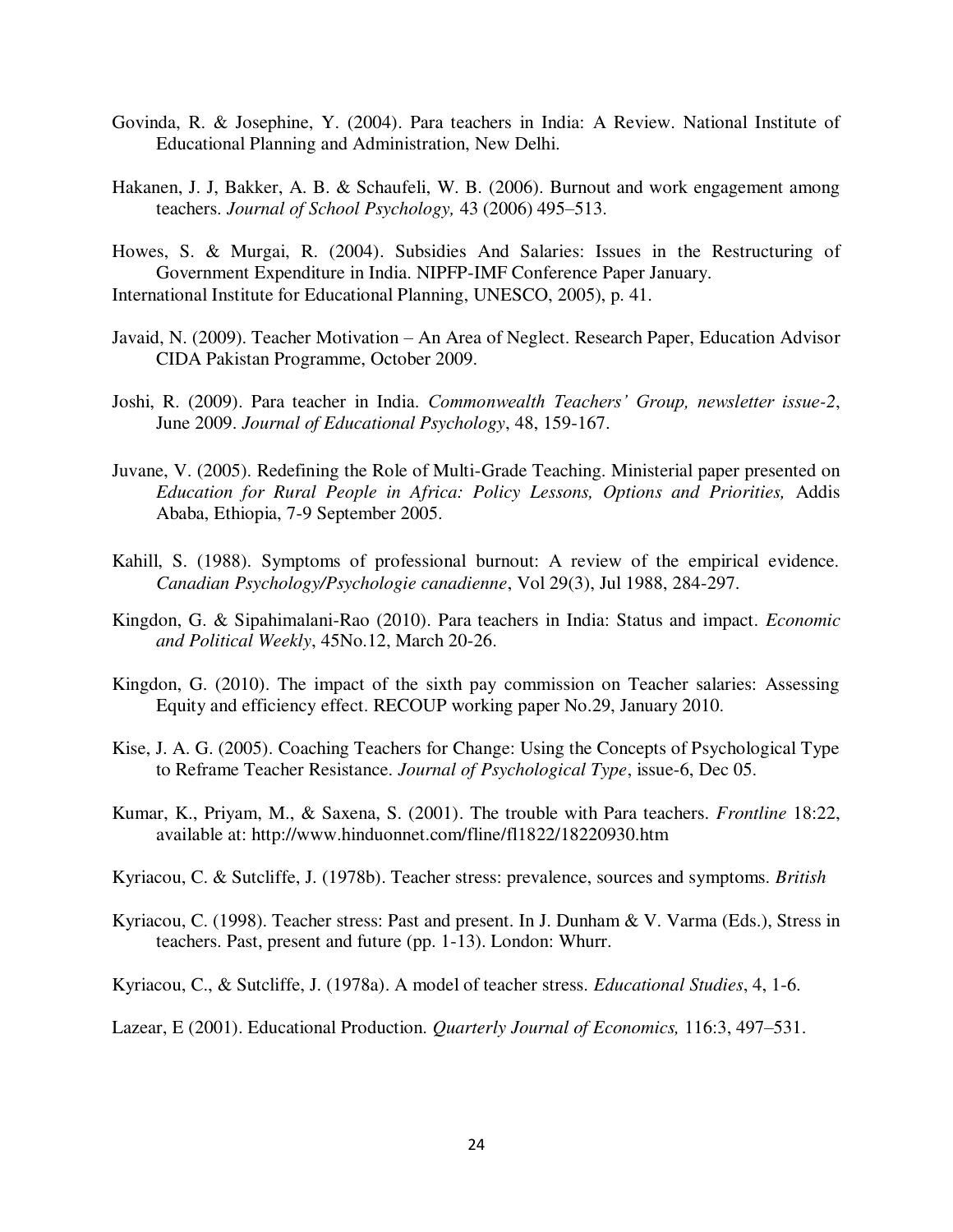- Govinda, R. & Josephine, Y. (2004). Para teachers in India: A Review. National Institute of Educational Planning and Administration, New Delhi.
- Hakanen, J. J, Bakker, A. B. & Schaufeli, W. B. (2006). Burnout and work engagement among teachers. *Journal of School Psychology,* 43 (2006) 495–513.
- Howes, S. & Murgai, R. (2004). Subsidies And Salaries: Issues in the Restructuring of Government Expenditure in India. NIPFP-IMF Conference Paper January. International Institute for Educational Planning, UNESCO, 2005), p. 41.
- Javaid, N. (2009). Teacher Motivation An Area of Neglect. Research Paper, Education Advisor CIDA Pakistan Programme, October 2009.
- Joshi, R. (2009). Para teacher in India. *Commonwealth Teachers" Group, newsletter issue-2*, June 2009. *Journal of Educational Psychology*, 48, 159-167.
- Juvane, V. (2005). Redefining the Role of Multi-Grade Teaching. Ministerial paper presented on *Education for Rural People in Africa: Policy Lessons, Options and Priorities,* Addis Ababa, Ethiopia, 7-9 September 2005.
- Kahill, S. (1988). Symptoms of professional burnout: A review of the empirical evidence. *Canadian Psychology/Psychologie canadienne*, Vol 29(3), Jul 1988, 284-297.
- Kingdon, G. & Sipahimalani-Rao (2010). Para teachers in India: Status and impact. *Economic and Political Weekly*, 45No.12, March 20-26.
- Kingdon, G. (2010). The impact of the sixth pay commission on Teacher salaries: Assessing Equity and efficiency effect. RECOUP working paper No.29, January 2010.
- Kise, J. A. G. (2005). Coaching Teachers for Change: Using the Concepts of Psychological Type to Reframe Teacher Resistance. *Journal of Psychological Type*, issue-6, Dec 05.
- Kumar, K., Priyam, M., & Saxena, S. (2001). The trouble with Para teachers. *Frontline* 18:22, available at: http://www.hinduonnet.com/fline/fl1822/18220930.htm
- Kyriacou, C. & Sutcliffe, J. (1978b). Teacher stress: prevalence, sources and symptoms. *British*
- Kyriacou, C. (1998). Teacher stress: Past and present. In J. Dunham & V. Varma (Eds.), Stress in teachers. Past, present and future (pp. 1-13). London: Whurr.

Kyriacou, C., & Sutcliffe, J. (1978a). A model of teacher stress. *Educational Studies*, 4, 1-6.

Lazear, E (2001). Educational Production. *Quarterly Journal of Economics,* 116:3, 497–531.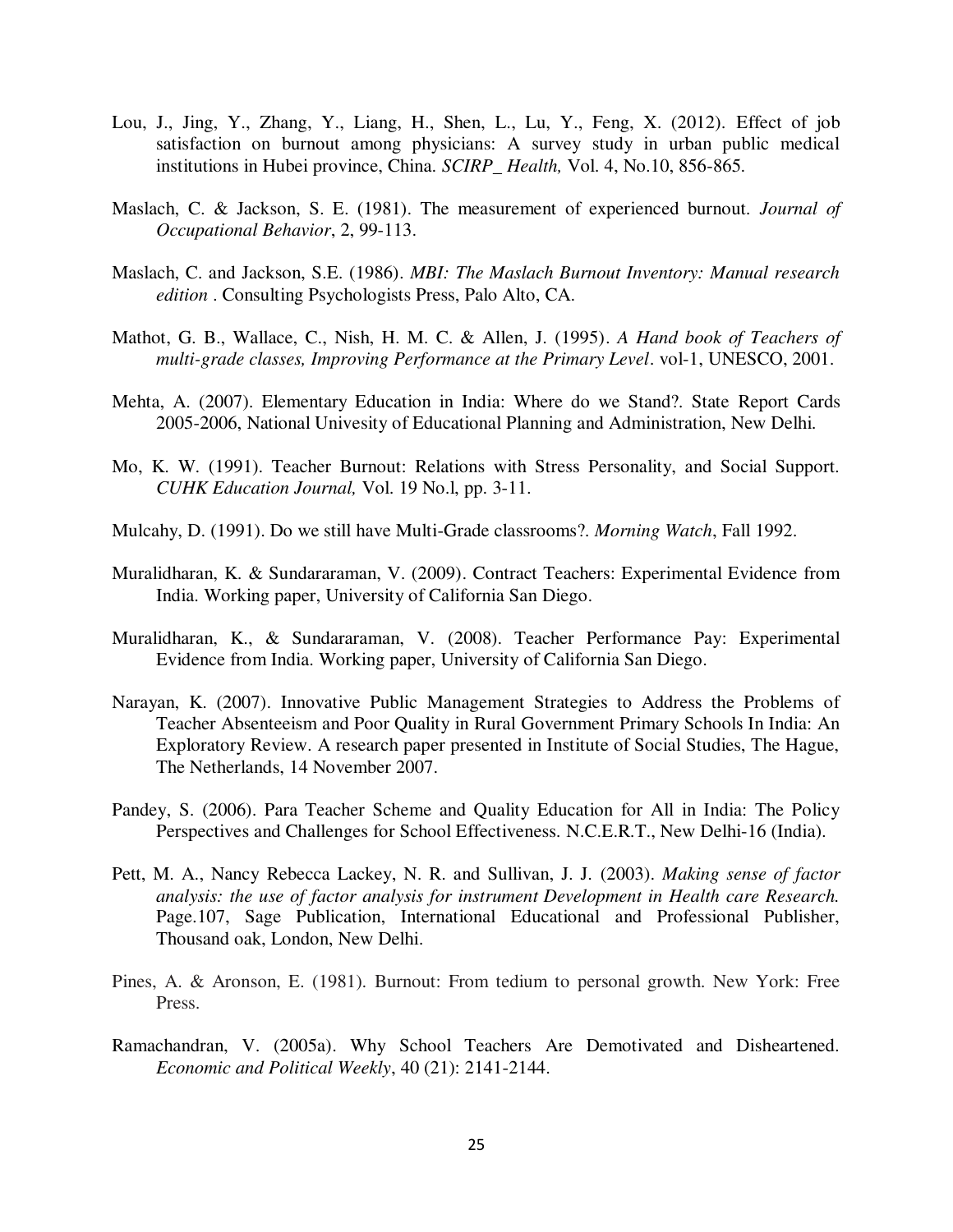- Lou, J., Jing, Y., Zhang, Y., Liang, H., Shen, L., Lu, Y., Feng, X. (2012). Effect of job satisfaction on burnout among physicians: A survey study in urban public medical institutions in Hubei province, China. *SCIRP*\_ *Health,* Vol. 4, No.10, 856-865.
- Maslach, C. & Jackson, S. E. (1981). The measurement of experienced burnout. *Journal of Occupational Behavior*, 2, 99-113.
- Maslach, C. and Jackson, S.E. (1986). *MBI: The Maslach Burnout Inventory: Manual research edition* . Consulting Psychologists Press, Palo Alto, CA.
- Mathot, G. B., Wallace, C., Nish, H. M. C. & Allen, J. (1995). *A Hand book of Teachers of multi-grade classes, Improving Performance at the Primary Level*. vol-1, UNESCO, 2001.
- Mehta, A. (2007). Elementary Education in India: Where do we Stand?. State Report Cards 2005-2006, National Univesity of Educational Planning and Administration, New Delhi.
- Mo, K. W. (1991). Teacher Burnout: Relations with Stress Personality, and Social Support. *CUHK Education Journal,* Vol. 19 No.l, pp. 3-11.
- Mulcahy, D. (1991). Do we still have Multi-Grade classrooms?. *Morning Watch*, Fall 1992.
- Muralidharan, K. & Sundararaman, V. (2009). Contract Teachers: Experimental Evidence from India. Working paper, University of California San Diego.
- Muralidharan, K., & Sundararaman, V. (2008). Teacher Performance Pay: Experimental Evidence from India. Working paper, University of California San Diego.
- Narayan, K. (2007). Innovative Public Management Strategies to Address the Problems of Teacher Absenteeism and Poor Quality in Rural Government Primary Schools In India: An Exploratory Review. A research paper presented in Institute of Social Studies, The Hague, The Netherlands, 14 November 2007.
- Pandey, S. (2006). Para Teacher Scheme and Quality Education for All in India: The Policy Perspectives and Challenges for School Effectiveness. N.C.E.R.T., New Delhi-16 (India).
- Pett, M. A., Nancy Rebecca Lackey, N. R. and Sullivan, J. J. (2003). *Making sense of factor analysis: the use of factor analysis for instrument Development in Health care Research.*  Page.107, Sage Publication, International Educational and Professional Publisher, Thousand oak, London, New Delhi.
- Pines, A. & Aronson, E. (1981). Burnout: From tedium to personal growth. New York: Free Press.
- Ramachandran, V. (2005a). Why School Teachers Are Demotivated and Disheartened. *Economic and Political Weekly*, 40 (21): 2141-2144.